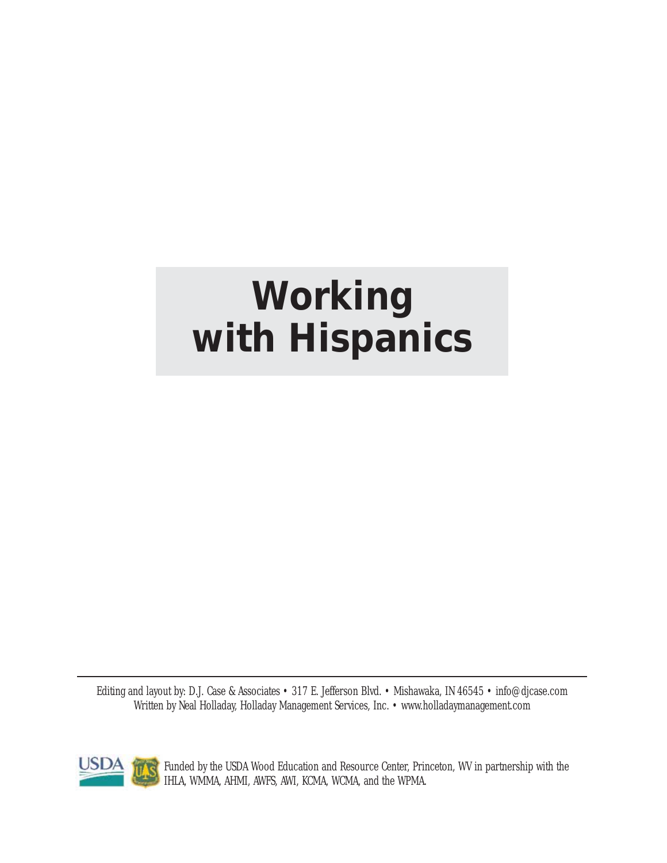# **Working with Hispanics**

Editing and layout by: D.J. Case & Associates • 317 E. Jefferson Blvd. • Mishawaka, IN 46545 • info@djcase.com Written by Neal Holladay, Holladay Management Services, Inc. • www.holladaymanagement.com



Funded by the USDA Wood Education and Resource Center, Princeton, WV in partnership with the IHLA, WMMA, AHMI, AWFS, AWI, KCMA, WCMA, and the WPMA.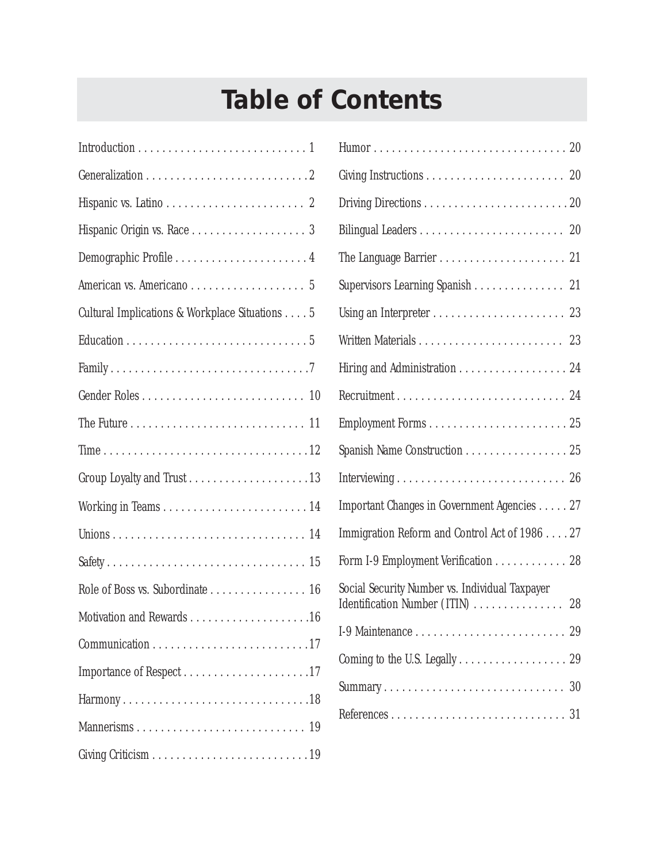# **Table of Contents**

| Cultural Implications & Workplace Situations 5 |
|------------------------------------------------|
|                                                |
|                                                |
|                                                |
|                                                |
|                                                |
|                                                |
|                                                |
|                                                |
|                                                |
| Role of Boss vs. Subordinate 16                |
|                                                |
|                                                |
| Importance of Respect17                        |
|                                                |
|                                                |
|                                                |

| Supervisors Learning Spanish 21                                                    |  |
|------------------------------------------------------------------------------------|--|
|                                                                                    |  |
|                                                                                    |  |
| Hiring and Administration 24                                                       |  |
|                                                                                    |  |
|                                                                                    |  |
| Spanish Name Construction 25                                                       |  |
|                                                                                    |  |
| <b>Important Changes in Government Agencies 27</b>                                 |  |
| Immigration Reform and Control Act of 1986 27                                      |  |
| Form I-9 Employment Verification 28                                                |  |
| Social Security Number vs. Individual Taxpayer<br>Identification Number (ITIN)  28 |  |
|                                                                                    |  |
|                                                                                    |  |
|                                                                                    |  |
|                                                                                    |  |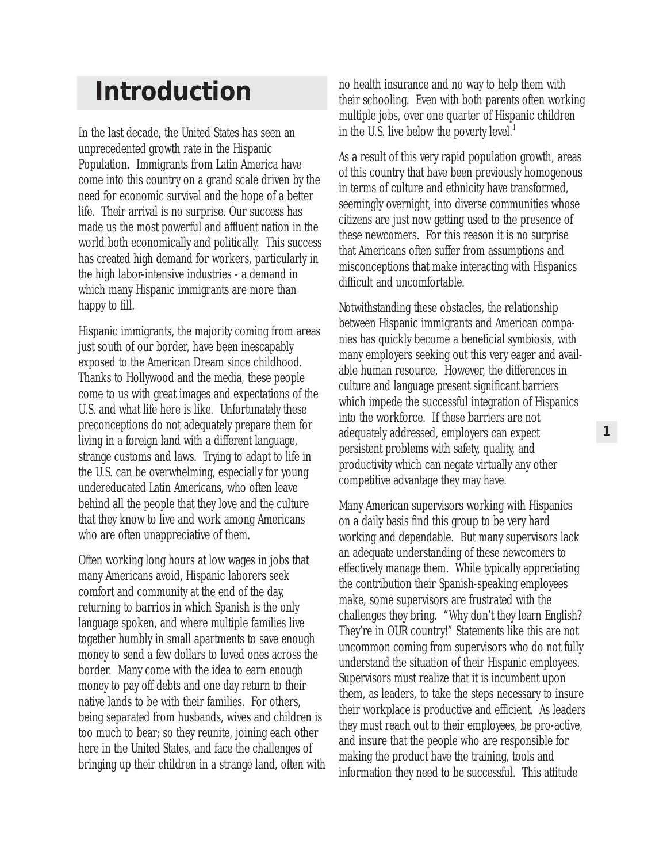## **Introduction**

In the last decade, the United States has seen an unprecedented growth rate in the Hispanic Population. Immigrants from Latin America have come into this country on a grand scale driven by the need for economic survival and the hope of a better life. Their arrival is no surprise. Our success has made us the most powerful and affluent nation in the world both economically and politically. This success has created high demand for workers, particularly in the high labor-intensive industries - a demand in which many Hispanic immigrants are more than happy to fill.

Hispanic immigrants, the majority coming from areas just south of our border, have been inescapably exposed to the American Dream since childhood. Thanks to Hollywood and the media, these people come to us with great images and expectations of the U.S. and what life here is like. Unfortunately these preconceptions do not adequately prepare them for living in a foreign land with a different language, strange customs and laws. Trying to adapt to life in the U.S. can be overwhelming, especially for young undereducated Latin Americans, who often leave behind all the people that they love and the culture that they know to live and work among Americans who are often unappreciative of them.

Often working long hours at low wages in jobs that many Americans avoid, Hispanic laborers seek comfort and community at the end of the day, returning to *barrios* in which Spanish is the only language spoken, and where multiple families live together humbly in small apartments to save enough money to send a few dollars to loved ones across the border. Many come with the idea to earn enough money to pay off debts and one day return to their native lands to be with their families. For others, being separated from husbands, wives and children is too much to bear; so they reunite, joining each other here in the United States, and face the challenges of bringing up their children in a strange land, often with

no health insurance and no way to help them with their schooling. Even with both parents often working multiple jobs, over one quarter of Hispanic children in the U.S. live below the poverty level. $<sup>1</sup>$ </sup>

As a result of this very rapid population growth, areas of this country that have been previously homogenous in terms of culture and ethnicity have transformed, seemingly overnight, into diverse communities whose citizens are just now getting used to the presence of these newcomers. For this reason it is no surprise that Americans often suffer from assumptions and misconceptions that make interacting with Hispanics difficult and uncomfortable.

Notwithstanding these obstacles, the relationship between Hispanic immigrants and American companies has quickly become a beneficial symbiosis, with many employers seeking out this very eager and available human resource. However, the differences in culture and language present significant barriers which impede the successful integration of Hispanics into the workforce. If these barriers are not adequately addressed, employers can expect persistent problems with safety, quality, and productivity which can negate virtually any other competitive advantage they may have.

Many American supervisors working with Hispanics on a daily basis find this group to be very hard working and dependable. But many supervisors lack an adequate understanding of these newcomers to effectively manage them. While typically appreciating the contribution their Spanish-speaking employees make, some supervisors are frustrated with the challenges they bring. "Why don't they learn English? They're in OUR country!" Statements like this are not uncommon coming from supervisors who do not fully understand the situation of their Hispanic employees. Supervisors must realize that it is incumbent upon *them*, as leaders, to take the steps necessary to insure their workplace is productive and efficient. As leaders they must reach out to their employees, be pro-active, and insure that the people who are responsible for making the product have the training, tools and information they need to be successful. This attitude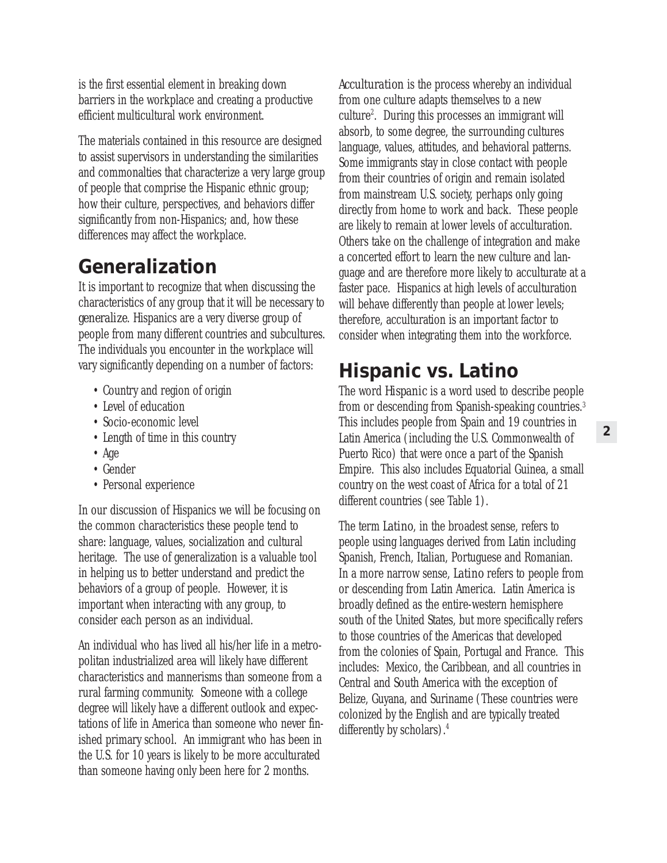is the first essential element in breaking down barriers in the workplace and creating a productive efficient multicultural work environment.

The materials contained in this resource are designed to assist supervisors in understanding the similarities and commonalties that characterize a very large group of people that comprise the Hispanic ethnic group; how their culture, perspectives, and behaviors differ significantly from non-Hispanics; and, how these differences may affect the workplace.

### **Generalization**

It is important to recognize that when discussing the characteristics of any group that it will be necessary to *generalize*. Hispanics are a very diverse group of people from many different countries and subcultures. The individuals you encounter in the workplace will vary significantly depending on a number of factors:

- Country and region of origin
- Level of education
- Socio-economic level
- Length of time in this country
- Age
- Gender
- Personal experience

In our discussion of Hispanics we will be focusing on the common characteristics these people tend to share: language, values, socialization and cultural heritage. The use of generalization is a valuable tool in helping us to better understand and predict the behaviors of a group of people. However, it is important when interacting with any group, to consider each person as an individual.

An individual who has lived all his/her life in a metropolitan industrialized area will likely have different characteristics and mannerisms than someone from a rural farming community. Someone with a college degree will likely have a different outlook and expectations of life in America than someone who never finished primary school. An immigrant who has been in the U.S. for 10 years is likely to be more acculturated than someone having only been here for 2 months.

*Acculturation* is the process whereby an individual from one culture adapts themselves to a new culture<sup>2</sup>. During this processes an immigrant will absorb, to some degree, the surrounding cultures language, values, attitudes, and behavioral patterns. Some immigrants stay in close contact with people from their countries of origin and remain isolated from mainstream U.S. society, perhaps only going directly from home to work and back. These people are likely to remain at lower levels of acculturation. Others take on the challenge of integration and make a concerted effort to learn the new culture and language and are therefore more likely to acculturate at a faster pace. Hispanics at high levels of acculturation will behave differently than people at lower levels; therefore, acculturation is an important factor to consider when integrating them into the workforce.

### **Hispanic vs. Latino**

The word *Hispanic* is a word used to describe people from or descending from Spanish-speaking countries.3 This includes people from Spain and 19 countries in Latin America (including the U.S. Commonwealth of Puerto Rico) that were once a part of the Spanish Empire. This also includes Equatorial Guinea, a small country on the west coast of Africa for a total of 21 different countries (see Table 1).

The term *Latino*, in the broadest sense, refers to people using languages derived from Latin including Spanish, French, Italian, Portuguese and Romanian. In a more narrow sense, *Latino* refers to people from or descending from Latin America. Latin America is broadly defined as the entire-western hemisphere south of the United States, but more specifically refers to those countries of the Americas that developed from the colonies of Spain, Portugal and France. This includes: Mexico, the Caribbean, and all countries in Central and South America with the exception of Belize, Guyana, and Suriname (These countries were colonized by the English and are typically treated differently by scholars). $<sup>4</sup>$ </sup>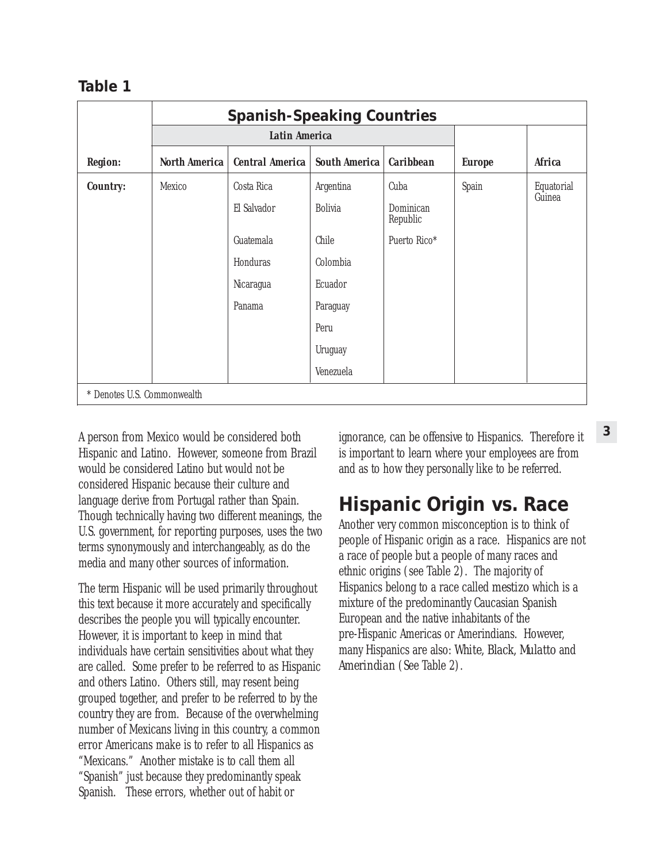| <b>Spanish-Speaking Countries</b> |                      |                        |                      |                         |               |               |  |
|-----------------------------------|----------------------|------------------------|----------------------|-------------------------|---------------|---------------|--|
|                                   | <b>Latin America</b> |                        |                      |                         |               |               |  |
| Region:                           | <b>North America</b> | <b>Central America</b> | <b>South America</b> | <b><i>Caribbean</i></b> | <b>Europe</b> | <b>Africa</b> |  |
| <b>Country:</b>                   | <b>Mexico</b>        | Costa Rica             | <b>Argentina</b>     | Cuba                    | Spain         | Equatorial    |  |
|                                   |                      | El Salvador            | <b>Bolivia</b>       | Dominican<br>Republic   |               | Guinea        |  |
|                                   |                      | Guatemala              | <b>Chile</b>         | Puerto Rico*            |               |               |  |
|                                   |                      | Honduras               | Colombia             |                         |               |               |  |
|                                   |                      | Nicaragua              | Ecuador              |                         |               |               |  |
|                                   |                      | Panama                 | Paraguay             |                         |               |               |  |
|                                   |                      |                        | Peru                 |                         |               |               |  |
|                                   |                      |                        | <b>Uruguay</b>       |                         |               |               |  |
|                                   |                      |                        | Venezuela            |                         |               |               |  |
| * Denotes U.S. Commonwealth       |                      |                        |                      |                         |               |               |  |

A person from Mexico would be considered both Hispanic and Latino. However, someone from Brazil would be considered Latino but would not be considered Hispanic because their culture and language derive from Portugal rather than Spain. Though technically having two different meanings, the U.S. government, for reporting purposes, uses the two terms synonymously and interchangeably, as do the media and many other sources of information.

The term Hispanic will be used primarily throughout this text because it more accurately and specifically describes the people you will typically encounter. However, it is important to keep in mind that individuals have certain sensitivities about what they are called. Some prefer to be referred to as Hispanic and others Latino. Others still, may resent being grouped together, and prefer to be referred to by the country they are from. Because of the overwhelming number of Mexicans living in this country, a common error Americans make is to refer to all Hispanics as "Mexicans." Another mistake is to call them all "Spanish" just because they predominantly speak Spanish. These errors, whether out of habit or

ignorance, can be offensive to Hispanics. Therefore it is important to learn where your employees are from and as to how they personally like to be referred.

### **Hispanic Origin vs. Race**

Another very common misconception is to think of people of Hispanic origin as a race. Hispanics are not a race of people but a people of many races and ethnic origins (see Table 2). The majority of Hispanics belong to a race called *mestizo* which is a mixture of the predominantly Caucasian Spanish European and the native inhabitants of the pre-Hispanic Americas or Amerindians. However, many Hispanics are also: *White, Black, Mulatto* and *Amerindian* (See Table 2).

**3**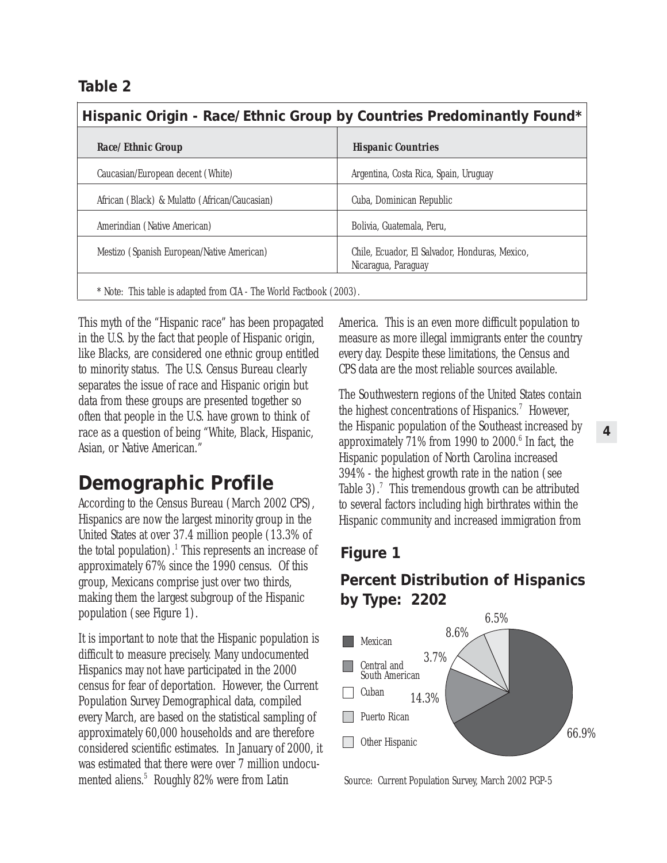#### **Table 2**

| Hispanic Origin - Race/Ethnic Group by Countries Predominantly Found* |                                                                       |
|-----------------------------------------------------------------------|-----------------------------------------------------------------------|
| <b>Race/Ethnic Group</b>                                              | <b>Hispanic Countries</b>                                             |
| Caucasian/European decent (White)                                     | Argentina, Costa Rica, Spain, Uruguay                                 |
| African (Black) & Mulatto (African/Caucasian)                         | Cuba, Dominican Republic                                              |
| Amerindian (Native American)                                          | Bolivia. Guatemala. Peru.                                             |
| Mestizo (Spanish European/Native American)                            | Chile, Ecuador, El Salvador, Honduras, Mexico,<br>Nicaragua, Paraguay |
| * Note: This table is adapted from CIA - The World Factbook (2003).   |                                                                       |

This myth of the "Hispanic race" has been propagated in the U.S. by the fact that people of Hispanic origin, like Blacks, are considered one ethnic group entitled to minority status. The U.S. Census Bureau clearly separates the issue of race and Hispanic origin but data from these groups are presented together so often that people in the U.S. have grown to think of race as a question of being "White, Black, Hispanic, Asian, or Native American."

### **Demographic Profile**

According to the Census Bureau (March 2002 CPS), Hispanics are now the largest minority group in the United States at over 37.4 million people (13.3% of the total population).<sup>1</sup> This represents an increase of approximately 67% since the 1990 census. Of this group, Mexicans comprise just over two thirds, making them the largest subgroup of the Hispanic population (see Figure 1).

It is important to note that the Hispanic population is difficult to measure precisely. Many undocumented Hispanics may not have participated in the 2000 census for fear of deportation. However, the Current Population Survey Demographical data, compiled every March, are based on the statistical sampling of approximately 60,000 households and are therefore considered scientific estimates. In January of 2000, it was estimated that there were over 7 million undocumented aliens.<sup>5</sup> Roughly 82% were from Latin

America. This is an even more difficult population to measure as more illegal immigrants enter the country every day. Despite these limitations, the Census and CPS data are the most reliable sources available.

The Southwestern regions of the United States contain the highest concentrations of Hispanics.<sup>7</sup> However, the Hispanic population of the Southeast increased by approximately  $71\%$  from 1990 to  $2000$ .<sup>6</sup> In fact, the Hispanic population of North Carolina increased 394% - the highest growth rate in the nation (see Table 3).<sup>7</sup> This tremendous growth can be attributed to several factors including high birthrates within the Hispanic community and increased immigration from

#### **Figure 1**

#### **Percent Distribution of Hispanics by Type: 2202**



Source: Current Population Survey, March 2002 PGP-5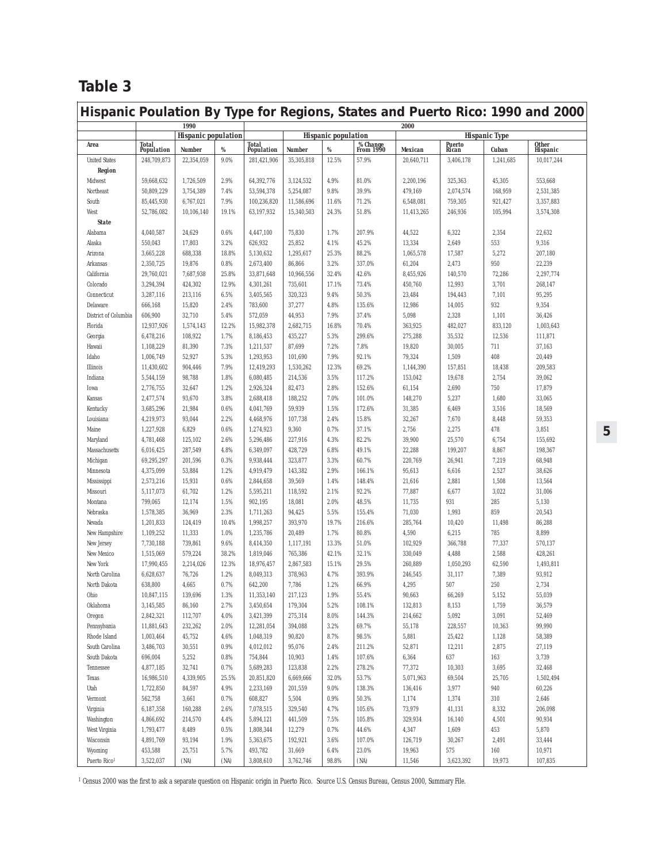#### **Table 3**

|                                         |                         |                                   |              |                         |                  |                            |                               |                  |                 |                      | Hispanic Poulation By Type for Regions, States and Puerto Rico: 1990 and 2000 |
|-----------------------------------------|-------------------------|-----------------------------------|--------------|-------------------------|------------------|----------------------------|-------------------------------|------------------|-----------------|----------------------|-------------------------------------------------------------------------------|
|                                         |                         | 1990                              |              |                         |                  |                            |                               | 2000             |                 |                      |                                                                               |
| <b>Area</b>                             | <b>Total</b>            | <i><b>Hispanic population</b></i> |              | <b>Total</b>            |                  | <b>Hispanic population</b> |                               |                  | <b>Puerto</b>   | <b>Hispanic Type</b> | <i><b>Other</b></i>                                                           |
|                                         | <b>Population</b>       | <b>Number</b>                     | $\%$         | <b>Population</b>       | <b>Number</b>    | $\%$                       | <i>% Change<br/>From 1990</i> | <b>Mexican</b>   | Rican           | Cuban                | <b>Hispanic</b>                                                               |
| <b>United States</b>                    | 248,709,873             | 22,354,059                        | 9.0%         | 281,421,906             | 35,305,818       | 12.5%                      | 57.9%                         | 20,640,711       | 3,406,178       | 1,241,685            | 10,017,244                                                                    |
| Region                                  |                         |                                   |              |                         |                  |                            |                               |                  |                 |                      |                                                                               |
| Midwest                                 | 59,668,632              | 1,726,509                         | 2.9%         | 64,392,776              | 3,124,532        | 4.9%                       | 81.0%                         | 2,200,196        | 325,363         | 45,305               | 553,668                                                                       |
| Northeast                               | 50,809,229              | 3,754,389                         | 7.4%         | 53,594,378              | 5,254,087        | 9.8%                       | 39.9%                         | 479,169          | 2,074,574       | 168,959              | 2,531,385                                                                     |
| South                                   | 85,445,930              | 6,767,021                         | 7.9%         | 100,236,820             | 11,586,696       | 11.6%                      | 71.2%                         | 6,548,081        | 759,305         | 921,427              | 3,357,883                                                                     |
| West                                    | 52,786,082              | 10.106.140                        | 19.1%        | 63,197,932              | 15,340,503       | 24.3%                      | 51.8%                         | 11,413,265       | 246,936         | 105,994              | 3,574,308                                                                     |
| <b>State</b>                            |                         |                                   |              |                         |                  |                            |                               |                  |                 |                      |                                                                               |
| Alabama                                 | 4,040,587               | 24,629                            | 0.6%         | 4,447,100               | 75,830           | 1.7%                       | 207.9%                        | 44,522           | 6,322           | 2,354                | 22,632                                                                        |
| Alaska                                  | 550,043                 | 17,803                            | 3.2%         | 626,932                 | 25,852           | 4.1%                       | 45.2%                         | 13,334           | 2,649           | 553                  | 9,316                                                                         |
| Arizona                                 | 3,665,228               | 688,338                           | 18.8%        | 5.130.632               | 1,295,617        | 25.3%                      | 88.2%                         | 1,065,578        | 17,587          | 5,272                | 207,180                                                                       |
| Arkansas                                | 2,350,725               | 19,876                            | 0.8%         | 2,673,400               | 86,866           | 3.2%                       | 337.0%                        | 61,204           | 2,473           | 950                  | 22,239                                                                        |
| California                              | 29,760,021              | 7,687,938                         | 25.8%        | 33,871,648              | 10,966,556       | 32.4%                      | 42.6%                         | 8,455,926        | 140,570         | 72,286               | 2,297,774                                                                     |
| Colorado                                | 3,294,394               | 424,302                           | 12.9%        | 4,301,261               | 735,601          | 17.1%                      | 73.4%                         | 450,760          | 12,993          | 3,701                | 268,147                                                                       |
| Connecticut                             | 3,287,116               | 213,116                           | 6.5%         | 3,405,565               | 320,323          | 9.4%                       | 50.3%                         | 23,484<br>12,986 | 194,443         | 7,101<br>932         | 95,295<br>9,354                                                               |
| Delaware<br><b>District of Columbia</b> | 666,168<br>606,900      | 15,820<br>32,710                  | 2.4%<br>5.4% | 783,600<br>572,059      | 37,277<br>44,953 | 4.8%<br>7.9%               | 135.6%<br>37.4%               | 5,098            | 14,005<br>2,328 | 1,101                | 36,426                                                                        |
|                                         |                         |                                   | 12.2%        |                         | 2,682,715        | 16.8%                      | 70.4%                         | 363,925          | 482,027         | 833,120              | 1,003,643                                                                     |
| Florida                                 | 12,937,926<br>6,478,216 | 1,574,143<br>108,922              | 1.7%         | 15,982,378<br>8,186,453 | 435,227          | 5.3%                       | 299.6%                        | 275,288          | 35,532          | 12,536               | 111,871                                                                       |
| Georgia<br>Hawaii                       | 1,108,229               | 81,390                            | 7.3%         | 1,211,537               | 87,699           | 7.2%                       | 7.8%                          | 19,820           | 30,005          | 711                  | 37,163                                                                        |
| Idaho                                   | 1,006,749               | 52,927                            | 5.3%         | 1,293,953               | 101,690          | 7.9%                       | 92.1%                         | 79,324           | 1,509           | 408                  | 20,449                                                                        |
| <b>Illinois</b>                         | 11,430,602              | 904,446                           | 7.9%         | 12,419,293              | 1,530,262        | 12.3%                      | 69.2%                         | 1,144,390        | 157,851         | 18,438               | 209,583                                                                       |
| Indiana                                 | 5,544,159               | 98,788                            | 1.8%         | 6,080,485               | 214,536          | 3.5%                       | 117.2%                        | 153,042          | 19,678          | 2,754                | 39,062                                                                        |
| Iowa                                    | 2,776,755               | 32,647                            | 1.2%         | 2.926.324               | 82,473           | 2.8%                       | 152.6%                        | 61,154           | 2,690           | 750                  | 17,879                                                                        |
| Kansas                                  | 2,477,574               | 93,670                            | 3.8%         | 2,688,418               | 188,252          | 7.0%                       | 101.0%                        | 148,270          | 5,237           | 1,680                | 33,065                                                                        |
| Kentucky                                | 3,685,296               | 21,984                            | 0.6%         | 4,041,769               | 59,939           | 1.5%                       | 172.6%                        | 31,385           | 6,469           | 3,516                | 18,569                                                                        |
| Louisiana                               | 4,219,973               | 93,044                            | 2.2%         | 4,468,976               | 107,738          | 2.4%                       | 15.8%                         | 32,267           | 7,670           | 8,448                | 59,353                                                                        |
| Maine                                   | 1,227,928               | 6,829                             | 0.6%         | 1,274,923               | 9,360            | 0.7%                       | 37.1%                         | 2,756            | 2,275           | 478                  | 3,851                                                                         |
| Maryland                                | 4,781,468               | 125,102                           | 2.6%         | 5,296,486               | 227,916          | 4.3%                       | 82.2%                         | 39,900           | 25,570          | 6,754                | 155,692                                                                       |
| Massachusetts                           | 6,016,425               | 287,549                           | 4.8%         | 6,349,097               | 428,729          | 6.8%                       | 49.1%                         | 22,288           | 199,207         | 8,867                | 198,367                                                                       |
| Michigan                                | 69,295,297              | 201,596                           | 0.3%         | 9,938,444               | 323,877          | 3.3%                       | 60.7%                         | 220,769          | 26,941          | 7,219                | 68,948                                                                        |
| Minnesota                               | 4,375,099               | 53,884                            | 1.2%         | 4,919,479               | 143,382          | 2.9%                       | 166.1%                        | 95,613           | 6,616           | 2,527                | 38,626                                                                        |
| <b>Mississippi</b>                      | 2,573,216               | 15,931                            | 0.6%         | 2,844,658               | 39,569           | 1.4%                       | 148.4%                        | 21,616           | 2,881           | 1,508                | 13,564                                                                        |
| Missouri                                | 5,117,073               | 61,702                            | 1.2%         | 5,595,211               | 118,592          | 2.1%                       | 92.2%                         | 77,887           | 6,677           | 3,022                | 31,006                                                                        |
| Montana                                 | 799,065                 | 12,174                            | 1.5%         | 902,195                 | 18,081           | 2.0%                       | 48.5%                         | 11,735           | 931             | 285                  | 5,130                                                                         |
| Nebraska                                | 1,578,385               | 36,969                            | 2.3%         | 1,711,263               | 94,425           | 5.5%                       | 155.4%                        | 71,030           | 1,993           | 859                  | 20,543                                                                        |
| Nevada                                  | 1,201,833               | 124,419                           | 10.4%        | 1,998,257               | 393,970          | 19.7%                      | 216.6%                        | 285,764          | 10,420          | 11,498               | 86,288                                                                        |
| New Hampshire                           | 1,109,252               | 11,333                            | 1.0%         | 1.235.786               | 20,489           | 1.7%                       | 80.8%                         | 4,590            | 6,215           | 785                  | 8,899                                                                         |
| <b>New Jersey</b>                       | 7,730,188               | 739,861                           | 9.6%         | 8,414,350               | 1,117,191        | 13.3%                      | 51.0%                         | 102,929          | 366,788         | 77,337               | 570,137                                                                       |
| <b>New Mexico</b>                       | 1,515,069               | 579,224                           | 38.2%        | 1,819,046               | 765,386          | 42.1%                      | 32.1%                         | 330,049          | 4,488           | 2,588                | 428,261                                                                       |
| New York                                | 17,990,455              | 2,214,026                         | 12.3%        | 18,976,457              | 2,867,583        | 15.1%                      | 29.5%                         | 260,889          | 1.050.293       | 62,590               | 1,493,811                                                                     |
| North Carolina                          | 6,628,637               | 76,726                            | 1.2%         | 8,049,313               | 378,963          | 4.7%                       | 393.9%                        | 246,545          | 31,117          | 7,389                | 93,912                                                                        |
| North Dakota                            | 638,800                 | 4,665                             | 0.7%         | 642,200                 | 7,786            | 1.2%                       | 66.9%                         | 4,295            | 507             | 250                  | 2,734                                                                         |
| Ohio                                    | 10,847,115              | 139,696                           | 1.3%         | 11,353,140              | 217,123          | 1.9%                       | 55.4%                         | 90,663           | 66,269          | 5,152                | 55,039                                                                        |
| Oklahoma                                | 3,145,585               | 86,160                            | 2.7%         | 3,450,654               | 179,304          | 5.2%                       | 108.1%                        | 132,813          | 8,153           | 1,759                | 36,579                                                                        |
| Oregon                                  | 2,842,321               | 112,707                           | 4.0%         | 3,421,399               | 275,314          | 8.0%                       | 144.3%                        | 214,662          | 5,092           | 3,091                | 52,469                                                                        |
| Pennsylvania                            | 11,881,643              | 232,262                           | 2.0%         | 12,281,054              | 394,088          | 3.2%                       | 69.7%                         | 55,178           | 228,557         | 10,363               | 99,990                                                                        |
| Rhode Island                            | 1,003,464               | 45,752                            | $4.6\%$      | 1,048,319               | 90,820           | 8.7%                       | 98.5%                         | 5,881            | 25,422          | 1,128                | 58,389                                                                        |
| South Carolina                          | 3,486,703               | 30,551                            | $0.9\%$      | 4,012,012               | 95,076           | 2.4%                       | 211.2%                        | 52,871           | 12,211          | 2,875                | 27,119                                                                        |
| South Dakota                            | 696,004                 | 5,252                             | 0.8%         | 754,844                 | 10,903           | 1.4%                       | 107.6%                        | 6,364            | 637             | 163                  | 3,739                                                                         |
| Tennessee                               | 4,877,185               | 32,741                            | 0.7%         | 5,689,283               | 123,838          | 2.2%                       | 278.2%                        | 77,372           | 10,303          | 3,695                | 32,468                                                                        |
| <b>Texas</b>                            | 16,986,510              | 4,339,905                         | 25.5%        | 20,851,820              | 6,669,666        | 32.0%                      | 53.7%                         | 5,071,963        | 69,504          | 25,705               | 1,502,494                                                                     |
| Utah                                    | 1,722,850               | 84,597                            | 4.9%         | 2,233,169               | 201,559          | $9.0\%$                    | 138.3%                        | 136,416          | 3,977           | 940                  | 60,226                                                                        |
| Vermont                                 | 562,758                 | 3,661                             | 0.7%         | 608,827                 | 5,504            | $0.9\%$                    | $50.3\%$                      | 1,174            | 1,374           | 310                  | 2,646                                                                         |
| Virginia                                | 6,187,358               | 160,288                           | $2.6\%$      | 7,078,515               | 329,540          | 4.7%                       | 105.6%                        | 73,979           | 41,131          | 8,332                | 206,098                                                                       |
| Washington                              | 4,866,692               | 214,570                           | 4.4%         | 5,894,121               | 441,509          | 7.5%                       | 105.8%                        | 329,934          | 16,140          | 4,501                | 90,934                                                                        |
| <b>West Virginia</b>                    | 1,793,477               | 8,489                             | $0.5\%$      | 1,808,344               | 12,279           | 0.7%                       | 44.6%                         | 4,347            | 1,609           | 453                  | 5,870                                                                         |
| Wisconsin                               | 4,891,769               | 93,194                            | 1.9%         | 5,363,675               | 192,921          | 3.6%                       | 107.0%                        | 126,719          | 30,267          | 2,491                | 33,444                                                                        |
| Wyoming                                 | 453,588                 | 25,751                            | 5.7%         | 493,782                 | 31,669           | 6.4%                       | 23.0%                         | 19,963           | 575             | 160                  | 10,971                                                                        |
| Puerto Rico <sup>1</sup>                | 3,522,037               | (NA)                              | (NA)         | 3,808,610               | 3,762,746        | $98.8\%$                   | (NA)                          | 11,546           | 3,623,392       | 19,973               | 107,835                                                                       |

<sup>1</sup> Census 2000 was the first to ask a separate question on Hispanic origin in Puerto Rico. Source U.S. Census Bureau, Census 2000, Summary File.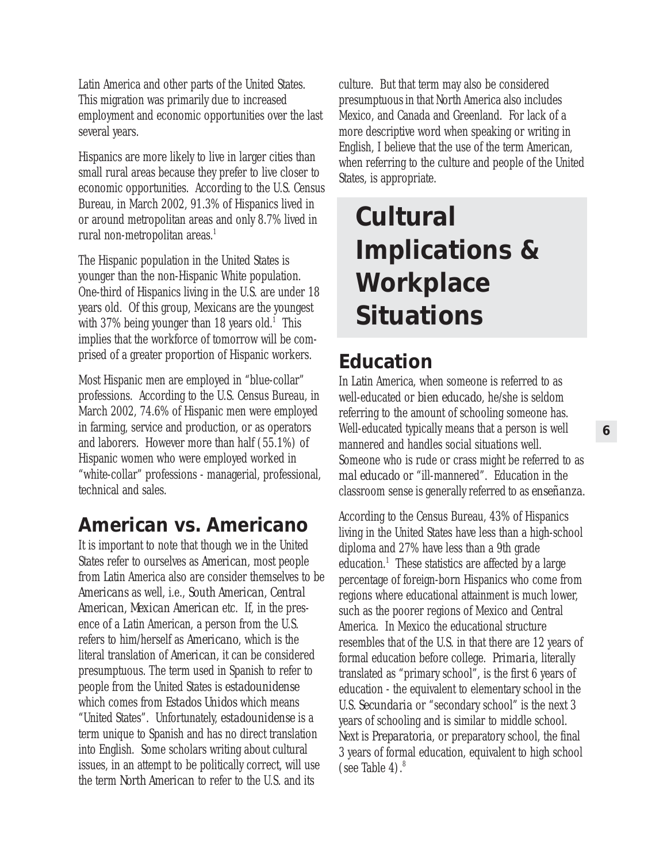Latin America and other parts of the United States. This migration was primarily due to increased employment and economic opportunities over the last several years.

Hispanics are more likely to live in larger cities than small rural areas because they prefer to live closer to economic opportunities. According to the U.S. Census Bureau, in March 2002, 91.3% of Hispanics lived in or around metropolitan areas and only 8.7% lived in rural non-metropolitan areas.<sup>1</sup>

The Hispanic population in the United States is younger than the non-Hispanic White population. One-third of Hispanics living in the U.S. are under 18 years old. Of this group, Mexicans are the youngest with 37% being younger than 18 years old.<sup>1</sup> This implies that the workforce of tomorrow will be comprised of a greater proportion of Hispanic workers.

Most Hispanic men are employed in "blue-collar" professions. According to the U.S. Census Bureau, in March 2002, 74.6% of Hispanic men were employed in farming, service and production, or as operators and laborers. However more than half (55.1%) of Hispanic women who were employed worked in "white-collar" professions - managerial, professional, technical and sales.

### **American vs. Americano**

It is important to note that though we in the United States refer to ourselves as *American*, most people from Latin America also are consider themselves to be *Americans* as well, i.e., *South American, Central American, Mexican American* etc. If, in the presence of a Latin American, a person from the U.S. refers to him/herself as *Americano*, which is the literal translation of *American*, it can be considered presumptuous. The term used in Spanish to refer to people from the United States is *estadounidense* which comes from *Estados Unidos* which means "United States". Unfortunately, *estadounidense* is a term unique to Spanish and has no direct translation into English. Some scholars writing about cultural issues, in an attempt to be politically correct, will use the term *North American* to refer to the U.S. and its

culture. But that term may also be considered presumptuous in that North America also includes Mexico, and Canada and Greenland. For lack of a more descriptive word when speaking or writing in English, I believe that the use of the term American, when referring to the culture and people of the United States, is appropriate.

# **Cultural Implications & Workplace Situations**

### **Education**

In Latin America, when someone is referred to as well-educated or *bien educado*, he/she is seldom referring to the amount of schooling someone has. Well-educated typically means that a person is well mannered and handles social situations well. Someone who is rude or crass might be referred to as *mal educado* or "ill-mannered". Education in the classroom sense is generally referred to as *enseñanza*.

According to the Census Bureau, 43% of Hispanics living in the United States have less than a high-school diploma and 27% have less than a 9th grade education.<sup>1</sup> These statistics are affected by a large percentage of foreign-born Hispanics who come from regions where educational attainment is much lower, such as the poorer regions of Mexico and Central America. In Mexico the educational structure resembles that of the U.S. in that there are 12 years of formal education before college. *Primaria*, literally translated as "primary school", is the first 6 years of education - the equivalent to elementary school in the U.S. *Secundaria* or "secondary school" is the next 3 years of schooling and is similar to middle school. Next is *Preparatoria*, or preparatory school, the final 3 years of formal education, equivalent to high school (see Table 4). $8$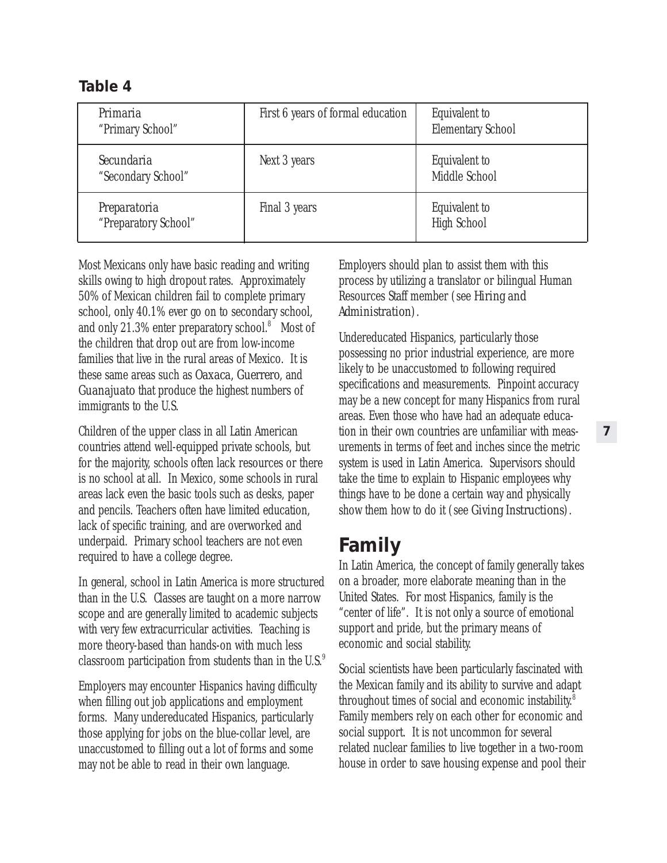#### **Table 4**

| Primaria<br>"Primary School"            | First 6 years of formal education | <b>Equivalent to</b><br><b>Elementary School</b> |
|-----------------------------------------|-----------------------------------|--------------------------------------------------|
| <b>Secundaria</b><br>"Secondary School" | Next 3 years                      | <b>Equivalent to</b><br><b>Middle School</b>     |
| Preparatoria<br>"Preparatory School"    | Final 3 years                     | <b>Equivalent to</b><br><b>High School</b>       |

Most Mexicans only have basic reading and writing skills owing to high dropout rates. Approximately 50% of Mexican children fail to complete primary school, only 40.1% ever go on to secondary school, and only  $21.3\%$  enter preparatory school.<sup>8</sup> Most of the children that drop out are from low-income families that live in the rural areas of Mexico. It is these same areas such as *Oaxaca, Guerrero*, and *Guanajuato* that produce the highest numbers of immigrants to the U.S.

Children of the upper class in all Latin American countries attend well-equipped private schools, but for the majority, schools often lack resources or there is no school at all. In Mexico, some schools in rural areas lack even the basic tools such as desks, paper and pencils. Teachers often have limited education, lack of specific training, and are overworked and underpaid. Primary school teachers are not even required to have a college degree.

In general, school in Latin America is more structured than in the U.S. Classes are taught on a more narrow scope and are generally limited to academic subjects with very few extracurricular activities. Teaching is more theory-based than hands-on with much less classroom participation from students than in the U.S.<sup>9</sup>

Employers may encounter Hispanics having difficulty when filling out job applications and employment forms. Many undereducated Hispanics, particularly those applying for jobs on the blue-collar level, are unaccustomed to filling out a lot of forms and some may not be able to read in their own language.

Employers should plan to assist them with this process by utilizing a translator or bilingual Human Resources Staff member (see *Hiring and Administration*).

Undereducated Hispanics, particularly those possessing no prior industrial experience, are more likely to be unaccustomed to following required specifications and measurements. Pinpoint accuracy may be a new concept for many Hispanics from rural areas. Even those who have had an adequate education in their own countries are unfamiliar with measurements in terms of feet and inches since the metric system is used in Latin America. Supervisors should take the time to explain to Hispanic employees why things have to be done a certain way and physically show them how to do it (see *Giving Instructions*).

### **Family**

In Latin America, the concept of family generally takes on a broader, more elaborate meaning than in the United States. For most Hispanics, family is the "center of life". It is not only a source of emotional support and pride, but the primary means of economic and social stability.

Social scientists have been particularly fascinated with the Mexican family and its ability to survive and adapt throughout times of social and economic instability.<sup>8</sup> Family members rely on each other for economic and social support. It is not uncommon for several related nuclear families to live together in a two-room house in order to save housing expense and pool their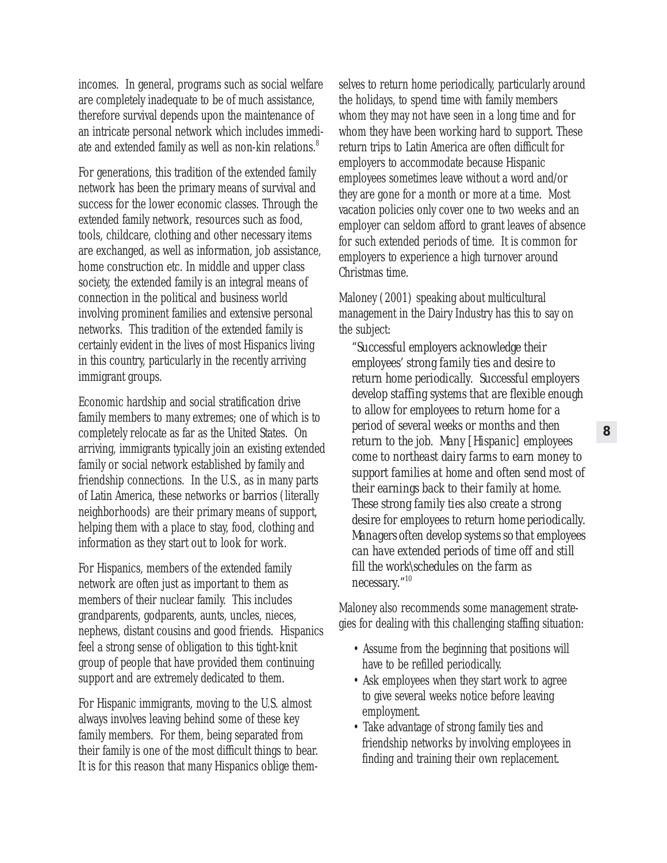incomes. In general, programs such as social welfare are completely inadequate to be of much assistance, therefore survival depends upon the maintenance of an intricate personal network which includes immediate and extended family as well as non-kin relations.<sup>8</sup>

For generations, this tradition of the extended family network has been the primary means of survival and success for the lower economic classes. Through the extended family network, resources such as food, tools, childcare, clothing and other necessary items are exchanged, as well as information, job assistance, home construction etc. In middle and upper class society, the extended family is an integral means of connection in the political and business world involving prominent families and extensive personal networks. This tradition of the extended family is certainly evident in the lives of most Hispanics living in this country, particularly in the recently arriving immigrant groups.

Economic hardship and social stratification drive family members to many extremes; one of which is to completely relocate as far as the United States. On arriving, immigrants typically join an existing extended family or social network established by family and friendship connections. In the U.S., as in many parts of Latin America, these networks or *barrios* (literally neighborhoods) are their primary means of support, helping them with a place to stay, food, clothing and information as they start out to look for work.

For Hispanics, members of the extended family network are often just as important to them as members of their nuclear family. This includes grandparents, godparents, aunts, uncles, nieces, nephews, distant cousins and good friends. Hispanics feel a strong sense of obligation to this tight-knit group of people that have provided them continuing support and are extremely dedicated to them.

For Hispanic immigrants, moving to the U.S. almost always involves leaving behind some of these key family members. For them, being separated from their family is one of the most difficult things to bear. It is for this reason that many Hispanics oblige themselves to return home periodically, particularly around the holidays, to spend time with family members whom they may not have seen in a long time and for whom they have been working hard to support. These return trips to Latin America are often difficult for employers to accommodate because Hispanic employees sometimes leave without a word and/or they are gone for a month or more at a time. Most vacation policies only cover one to two weeks and an employer can seldom afford to grant leaves of absence for such extended periods of time. It is common for employers to experience a high turnover around Christmas time.

Maloney (2001) speaking about multicultural management in the Dairy Industry has this to say on the subject:

*"Successful employers acknowledge their employees' strong family ties and desire to return home periodically. Successful employers develop staffing systems that are flexible enough to allow for employees to return home for a period of several weeks or months and then return to the job. Many [Hispanic] employees come to northeast dairy farms to earn money to support families at home and often send most of their earnings back to their family at home. These strong family ties also create a strong desire for employees to return home periodically. Managers often develop systems so that employees can have extended periods of time off and still fill the work\schedules on the farm as necessary."<sup>10</sup>*

Maloney also recommends some management strategies for dealing with this challenging staffing situation:

- Assume from the beginning that positions will have to be refilled periodically.
- Ask employees when they start work to agree to give several weeks notice before leaving employment.
- Take advantage of strong family ties and friendship networks by involving employees in finding and training their own replacement.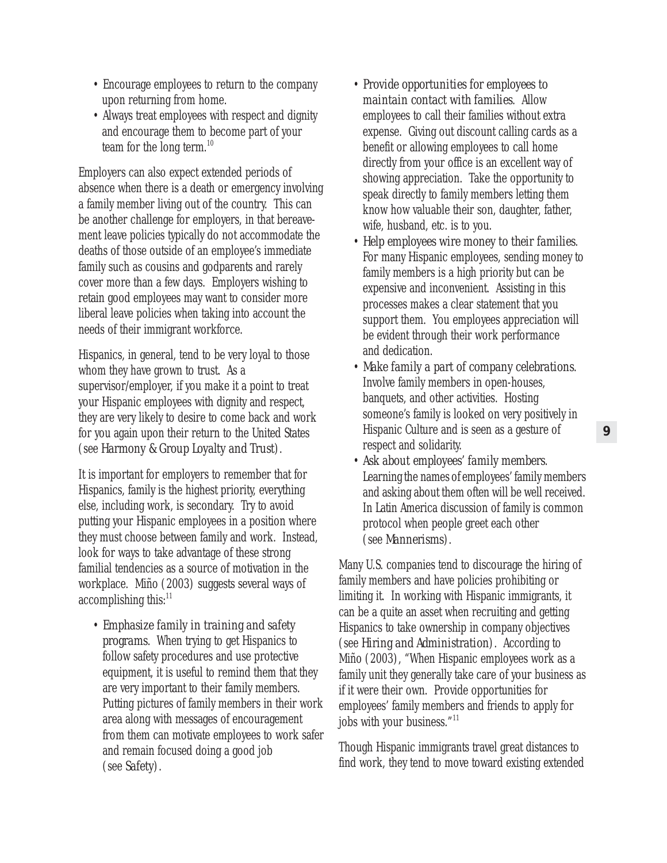- Encourage employees to return to the company upon returning from home.
- Always treat employees with respect and dignity and encourage them to become part of your team for the long term.10

Employers can also expect extended periods of absence when there is a death or emergency involving a family member living out of the country. This can be another challenge for employers, in that bereavement leave policies typically do not accommodate the deaths of those outside of an employee's immediate family such as cousins and godparents and rarely cover more than a few days. Employers wishing to retain good employees may want to consider more liberal leave policies when taking into account the needs of their immigrant workforce.

Hispanics, in general, tend to be very loyal to those whom they have grown to trust. As a supervisor/employer, if you make it a point to treat your Hispanic employees with dignity and respect, they are very likely to desire to come back and work for you again upon their return to the United States (see *Harmony & Group Loyalty and Trust*).

It is important for employers to remember that for Hispanics, family is the highest priority, everything else, including work, is secondary. Try to avoid putting your Hispanic employees in a position where they must choose between family and work. Instead, look for ways to take advantage of these strong familial tendencies as a source of motivation in the workplace. Miño (2003) suggests several ways of accomplishing this:<sup>11</sup>

• *Emphasize family in training and safety programs*. When trying to get Hispanics to follow safety procedures and use protective equipment, it is useful to remind them that they are very important to their family members. Putting pictures of family members in their work area along with messages of encouragement from them can motivate employees to work safer and remain focused doing a good job (see *Safety*).

- *Provide opportunities for employees to maintain contact with families*. Allow employees to call their families without extra expense. Giving out discount calling cards as a benefit or allowing employees to call home directly from your office is an excellent way of showing appreciation. Take the opportunity to speak directly to family members letting them know how valuable their son, daughter, father, wife, husband, etc. is to you.
- *Help employees wire money to their families*. For many Hispanic employees, sending money to family members is a high priority but can be expensive and inconvenient. Assisting in this processes makes a clear statement that you support them. You employees appreciation will be evident through their work performance and dedication.
- *Make family a part of company celebrations*. Involve family members in open-houses, banquets, and other activities. Hosting someone's family is looked on very positively in Hispanic Culture and is seen as a gesture of respect and solidarity.
- *Ask about employees' family members*. Learning the names of employees' family members and asking about them often will be well received. In Latin America discussion of family is common protocol when people greet each other (see *Mannerisms*).

Many U.S. companies tend to discourage the hiring of family members and have policies prohibiting or limiting it. In working with Hispanic immigrants, it can be a quite an asset when recruiting and getting Hispanics to take ownership in company objectives (see *Hiring and Administration*). According to Miño (2003), "When Hispanic employees work as a family unit they generally take care of your business as if it were their own. Provide opportunities for employees' family members and friends to apply for jobs with your business."<sup>11</sup>

Though Hispanic immigrants travel great distances to find work, they tend to move toward existing extended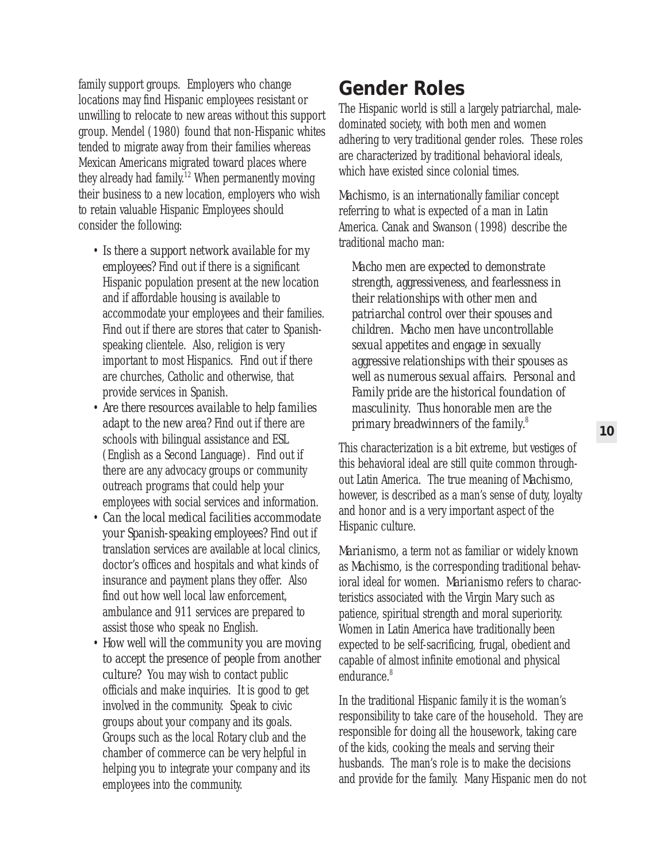family support groups. Employers who change locations may find Hispanic employees resistant or unwilling to relocate to new areas without this support group. Mendel (1980) found that non-Hispanic whites tended to migrate away from their families whereas Mexican Americans migrated toward places where they already had family.<sup>12</sup> When permanently moving their business to a new location, employers who wish to retain valuable Hispanic Employees should consider the following:

- *Is there a support network available for my employees?* Find out if there is a significant Hispanic population present at the new location and if affordable housing is available to accommodate your employees and their families. Find out if there are stores that cater to Spanishspeaking clientele. Also, religion is very important to most Hispanics. Find out if there are churches, Catholic and otherwise, that provide services in Spanish.
- *Are there resources available to help families adapt to the new area?* Find out if there are schools with bilingual assistance and ESL (English as a Second Language). Find out if there are any advocacy groups or community outreach programs that could help your employees with social services and information.
- *Can the local medical facilities accommodate your Spanish-speaking employees?* Find out if translation services are available at local clinics, doctor's offices and hospitals and what kinds of insurance and payment plans they offer. Also find out how well local law enforcement, ambulance and 911 services are prepared to assist those who speak no English.
- *How well will the community you are moving to accept the presence of people from another culture?* You may wish to contact public officials and make inquiries. It is good to get involved in the community. Speak to civic groups about your company and its goals. Groups such as the local Rotary club and the chamber of commerce can be very helpful in helping you to integrate your company and its employees into the community.

### **Gender Roles**

The Hispanic world is still a largely patriarchal, maledominated society, with both men and women adhering to very traditional gender roles. These roles are characterized by traditional behavioral ideals, which have existed since colonial times.

*Machismo*, is an internationally familiar concept referring to what is expected of a man in Latin America. Canak and Swanson (1998) describe the traditional macho man:

*Macho men are expected to demonstrate strength, aggressiveness, and fearlessness in their relationships with other men and patriarchal control over their spouses and children. Macho men have uncontrollable sexual appetites and engage in sexually aggressive relationships with their spouses as well as numerous sexual affairs. Personal and Family pride are the historical foundation of masculinity. Thus honorable men are the primary breadwinners of the family.*<sup>8</sup>

This characterization is a bit extreme, but vestiges of this behavioral ideal are still quite common throughout Latin America. The true meaning of *Machismo*, however, is described as a man's sense of duty, loyalty and honor and is a very important aspect of the Hispanic culture.

*Marianismo*, a term not as familiar or widely known as *Machismo*, is the corresponding traditional behavioral ideal for women. *Marianismo* refers to characteristics associated with the Virgin Mary such as patience, spiritual strength and moral superiority. Women in Latin America have traditionally been expected to be self-sacrificing, frugal, obedient and capable of almost infinite emotional and physical endurance.<sup>8</sup>

In the traditional Hispanic family it is the woman's responsibility to take care of the household. They are responsible for doing all the housework, taking care of the kids, cooking the meals and serving their husbands. The man's role is to make the decisions and provide for the family. Many Hispanic men do not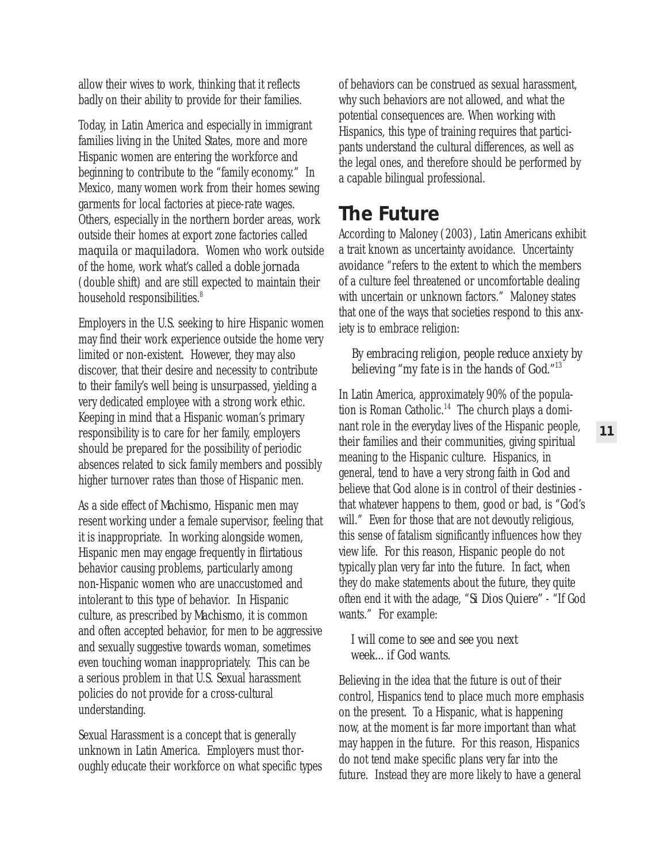allow their wives to work, thinking that it reflects badly on their ability to provide for their families.

Today, in Latin America and especially in immigrant families living in the United States, more and more Hispanic women are entering the workforce and beginning to contribute to the "family economy." In Mexico, many women work from their homes sewing garments for local factories at piece-rate wages. Others, especially in the northern border areas, work outside their homes at export zone factories called *maquila* or *maquiladora*. Women who work outside of the home, work what's called a *doble jornada* (double shift) and are still expected to maintain their household responsibilities.<sup>8</sup>

Employers in the U.S. seeking to hire Hispanic women may find their work experience outside the home very limited or non-existent. However, they may also discover, that their desire and necessity to contribute to their family's well being is unsurpassed, yielding a very dedicated employee with a strong work ethic. Keeping in mind that a Hispanic woman's primary responsibility is to care for her family, employers should be prepared for the possibility of periodic absences related to sick family members and possibly higher turnover rates than those of Hispanic men.

As a side effect of *Machismo*, Hispanic men may resent working under a female supervisor, feeling that it is inappropriate. In working alongside women, Hispanic men may engage frequently in flirtatious behavior causing problems, particularly among non-Hispanic women who are unaccustomed and intolerant to this type of behavior. In Hispanic culture, as prescribed by *Machismo*, it is common and often accepted behavior, for men to be aggressive and sexually suggestive towards woman, sometimes even touching woman inappropriately. This can be a serious problem in that U.S. Sexual harassment policies do not provide for a cross-cultural understanding.

Sexual Harassment is a concept that is generally unknown in Latin America. Employers must thoroughly educate their workforce on what specific types of behaviors can be construed as sexual harassment, why such behaviors are not allowed, and what the potential consequences are. When working with Hispanics, this type of training requires that participants understand the cultural differences, as well as the legal ones, and therefore should be performed by a capable bilingual professional.

### **The Future**

According to Maloney (2003), Latin Americans exhibit a trait known as uncertainty avoidance. Uncertainty avoidance "refers to the extent to which the members of a culture feel threatened or uncomfortable dealing with uncertain or unknown factors." Maloney states that one of the ways that societies respond to this anxiety is to embrace religion:

#### *By embracing religion, people reduce anxiety by believing "my fate is in the hands of God."13*

In Latin America, approximately 90% of the population is Roman Catholic.<sup>14</sup> The church plays a dominant role in the everyday lives of the Hispanic people, their families and their communities, giving spiritual meaning to the Hispanic culture. Hispanics, in general, tend to have a very strong faith in God and believe that God alone is in control of their destinies that whatever happens to them, good or bad, is "God's will." Even for those that are not devoutly religious, this sense of fatalism significantly influences how they view life. For this reason, Hispanic people do not typically plan very far into the future. In fact, when they do make statements about the future, they quite often end it with the adage, "*Si Dios Quiere"* - "If God wants." For example:

#### *I will come to see and see you next week... if God wants*.

Believing in the idea that the future is out of their control, Hispanics tend to place much more emphasis on the present. To a Hispanic, what is happening now, at the moment is far more important than what may happen in the future. For this reason, Hispanics do not tend make specific plans very far into the future. Instead they are more likely to have a general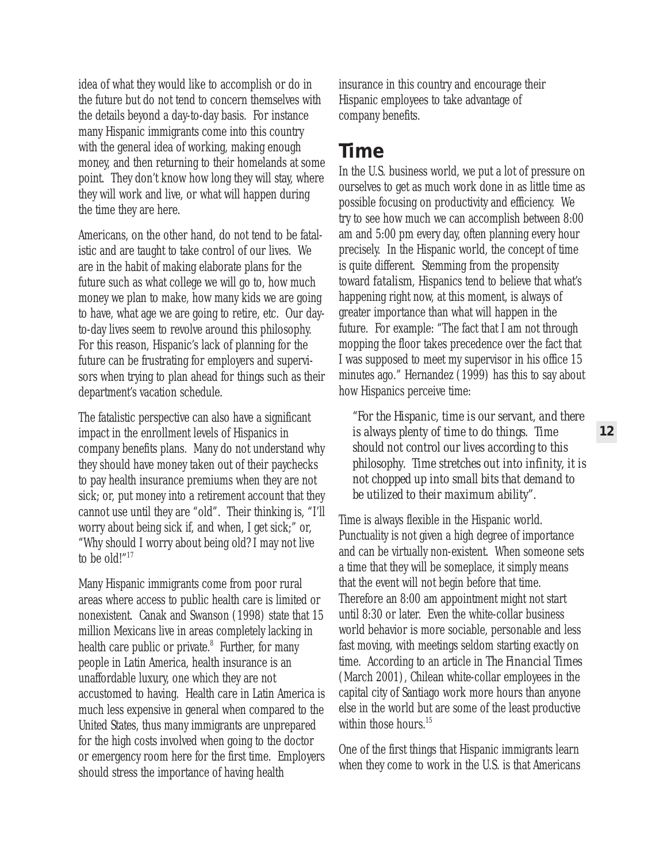idea of what they would like to accomplish or do in the future but do not tend to concern themselves with the details beyond a day-to-day basis. For instance many Hispanic immigrants come into this country with the general idea of working, making enough money, and then returning to their homelands at some point. They don't know how long they will stay, where they will work and live, or what will happen during the time they are here.

Americans, on the other hand, do not tend to be fatalistic and are taught to take control of our lives. We are in the habit of making elaborate plans for the future such as what college we will go to, how much money we plan to make, how many kids we are going to have, what age we are going to retire, etc. Our dayto-day lives seem to revolve around this philosophy. For this reason, Hispanic's lack of planning for the future can be frustrating for employers and supervisors when trying to plan ahead for things such as their department's vacation schedule.

The fatalistic perspective can also have a significant impact in the enrollment levels of Hispanics in company benefits plans. Many do not understand why they should have money taken out of their paychecks to pay health insurance premiums when they are not sick; or, put money into a retirement account that they cannot use until they are "old". Their thinking is, "I'll worry about being sick if, and when, I get sick;" or, "Why should I worry about being old? I may not live to be old!"<sup>17</sup>

Many Hispanic immigrants come from poor rural areas where access to public health care is limited or nonexistent. Canak and Swanson (1998) state that 15 million Mexicans live in areas completely lacking in health care public or private.<sup>8</sup> Further, for many people in Latin America, health insurance is an unaffordable luxury, one which they are not accustomed to having. Health care in Latin America is much less expensive in general when compared to the United States, thus many immigrants are unprepared for the high costs involved when going to the doctor or emergency room here for the first time. Employers should stress the importance of having health

insurance in this country and encourage their Hispanic employees to take advantage of company benefits.

#### **Time**

In the U.S. business world, we put a lot of pressure on ourselves to get as much work done in as little time as possible focusing on productivity and efficiency. We try to see how much we can accomplish between 8:00 am and 5:00 pm every day, often planning every hour precisely. In the Hispanic world, the concept of time is quite different. Stemming from the propensity toward *fatalism*, Hispanics tend to believe that what's happening right now, at this moment, is always of greater importance than what will happen in the future. For example: "The fact that I am not through mopping the floor takes precedence over the fact that I was supposed to meet my supervisor in his office 15 minutes ago." Hernandez (1999) has this to say about how Hispanics perceive time:

*"For the Hispanic, time is our servant, and there is always plenty of time to do things. Time should not control our lives according to this philosophy. Time stretches out into infinity, it is not chopped up into small bits that demand to be utilized to their maximum ability".*

Time is always flexible in the Hispanic world. Punctuality is not given a high degree of importance and can be virtually non-existent. When someone sets a time that they will be someplace, it simply means that the event will not begin before that time. Therefore an 8:00 am appointment might not start until 8:30 or later. Even the white-collar business world behavior is more sociable, personable and less fast moving, with meetings seldom starting exactly on time. According to an article in *The Financial Times* (March 2001), Chilean white-collar employees in the capital city of Santiago work more hours than anyone else in the world but are some of the least productive within those hours.<sup>15</sup>

One of the first things that Hispanic immigrants learn when they come to work in the U.S. is that Americans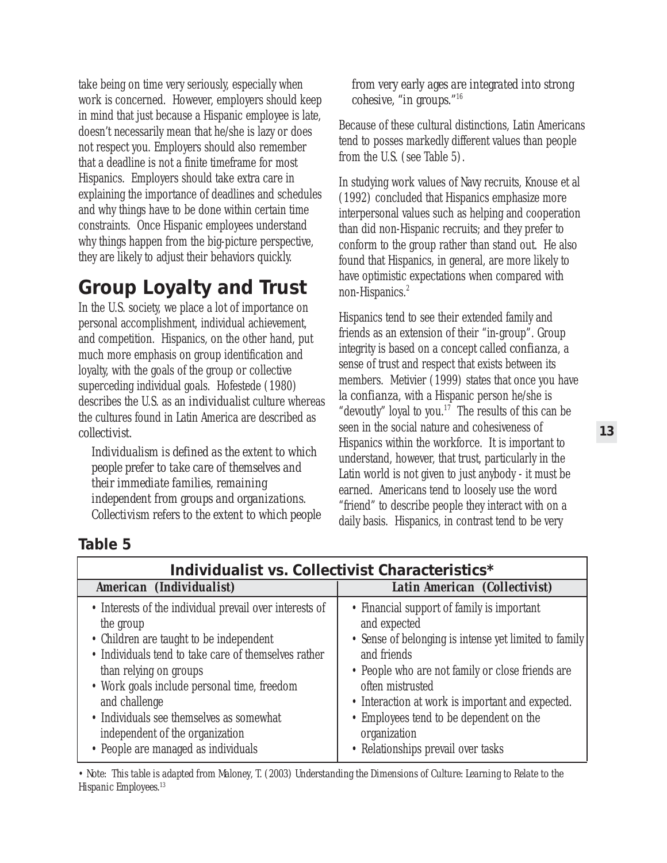take being on time very seriously, especially when work is concerned. However, employers should keep in mind that just because a Hispanic employee is late, doesn't necessarily mean that he/she is lazy or does not respect you. Employers should also remember that a deadline is not a finite timeframe for most Hispanics. Employers should take extra care in explaining the importance of deadlines and schedules and why things have to be done within certain time constraints. Once Hispanic employees understand why things happen from the big-picture perspective, they are likely to adjust their behaviors quickly.

### **Group Loyalty and Trust**

In the U.S. society, we place a lot of importance on personal accomplishment, individual achievement, and competition. Hispanics, on the other hand, put much more emphasis on group identification and loyalty, with the goals of the group or collective superceding individual goals. Hofestede (1980) describes the U.S. as an *individualist* culture whereas the cultures found in Latin America are described as *collectivist*.

*Individualism is defined as the extent to which people prefer to take care of themselves and their immediate families, remaining independent from groups and organizations. Collectivism refers to the extent to which people*

#### *from very early ages are integrated into strong cohesive, "in groups."*<sup>16</sup>

Because of these cultural distinctions, Latin Americans tend to posses markedly different values than people from the U.S. (see Table 5).

In studying work values of Navy recruits, Knouse et al (1992) concluded that Hispanics emphasize more interpersonal values such as helping and cooperation than did non-Hispanic recruits; and they prefer to conform to the group rather than stand out. He also found that Hispanics, in general, are more likely to have optimistic expectations when compared with non-Hispanics.<sup>2</sup>

Hispanics tend to see their extended family and friends as an extension of their "in-group". Group integrity is based on a concept called *confianza*, a sense of trust and respect that exists between its members. Metivier (1999) states that once you have *la confianza*, with a Hispanic person he/she is "devoutly" loyal to you.<sup>17</sup> The results of this can be seen in the social nature and cohesiveness of Hispanics within the workforce. It is important to understand, however, that trust, particularly in the Latin world is not given to just anybody - it must be earned. Americans tend to loosely use the word "friend" to describe people they interact with on a daily basis. Hispanics, in contrast tend to be very

| ЮI<br>◢<br>п |  |
|--------------|--|
|--------------|--|

| American (Individualist)<br><b>Latin American (Collectivist)</b><br>• Interests of the individual prevail over interests of<br>• Financial support of family is important                                                                                                                                                                                                                                                                                                                                                                                   | Individualist vs. Collectivist Characteristics* |                                                                       |
|-------------------------------------------------------------------------------------------------------------------------------------------------------------------------------------------------------------------------------------------------------------------------------------------------------------------------------------------------------------------------------------------------------------------------------------------------------------------------------------------------------------------------------------------------------------|-------------------------------------------------|-----------------------------------------------------------------------|
|                                                                                                                                                                                                                                                                                                                                                                                                                                                                                                                                                             |                                                 |                                                                       |
| • Children are taught to be independent<br>• Individuals tend to take care of themselves rather<br>and friends<br>• People who are not family or close friends are<br>than relying on groups<br>· Work goals include personal time, freedom<br>often mistrusted<br>and challenge<br>• Interaction at work is important and expected.<br>• Individuals see themselves as somewhat<br>• Employees tend to be dependent on the<br>independent of the organization<br>organization<br>• People are managed as individuals<br>• Relationships prevail over tasks | the group                                       | and expected<br>• Sense of belonging is intense yet limited to family |

*• Note: This table is adapted from Maloney, T. (2003) Understanding the Dimensions of Culture: Learning to Relate to the Hispanic Employees.13*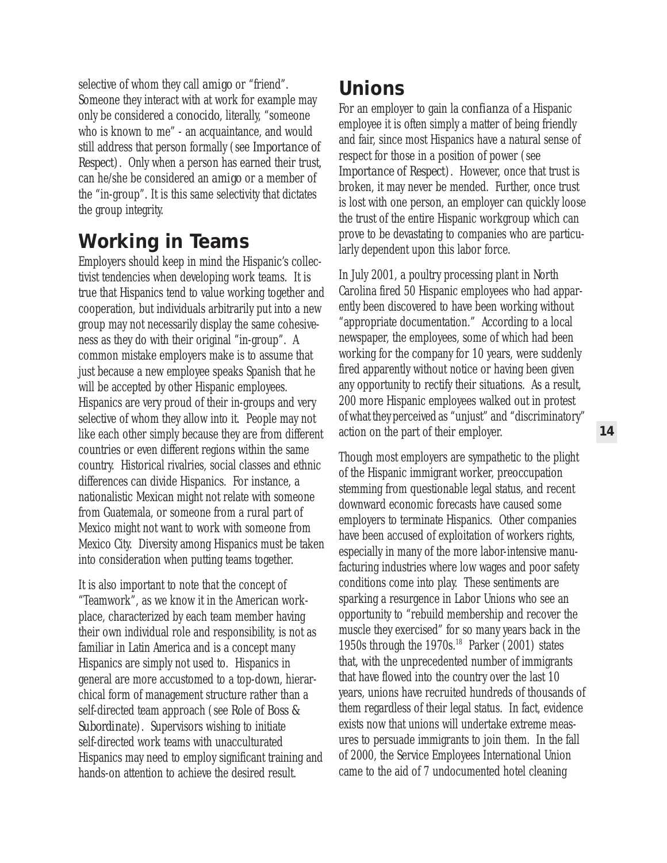selective of whom they call *amigo* or "friend". Someone they interact with at work for example may only be considered a *conocido*, literally, "someone who is known to me" - an acquaintance, and would still address that person formally (see *Importance of Respect*). Only when a person has earned their trust, can he/she be considered an *amigo* or a member of the "in-group". It is this same selectivity that dictates the group integrity.

### **Working in Teams**

Employers should keep in mind the Hispanic's collectivist tendencies when developing work teams. It is true that Hispanics tend to value working together and cooperation, but individuals arbitrarily put into a new group may not necessarily display the same cohesiveness as they do with their original "in-group". A common mistake employers make is to assume that just because a new employee speaks Spanish that he will be accepted by other Hispanic employees. Hispanics are very proud of their in-groups and very selective of whom they allow into it. People may not like each other simply because they are from different countries or even different regions within the same country. Historical rivalries, social classes and ethnic differences can divide Hispanics. For instance, a nationalistic Mexican might not relate with someone from Guatemala, or someone from a rural part of Mexico might not want to work with someone from Mexico City. Diversity among Hispanics must be taken into consideration when putting teams together.

It is also important to note that the concept of "Teamwork", as we know it in the American workplace, characterized by each team member having their own individual role and responsibility, is not as familiar in Latin America and is a concept many Hispanics are simply not used to. Hispanics in general are more accustomed to a top-down, hierarchical form of management structure rather than a self-directed team approach (see *Role of Boss & Subordinate*). Supervisors wishing to initiate self-directed work teams with unacculturated Hispanics may need to employ significant training and hands-on attention to achieve the desired result.

### **Unions**

For an employer to gain la *confianza* of a Hispanic employee it is often simply a matter of being friendly and fair, since most Hispanics have a natural sense of respect for those in a position of power (see *Importance of Respect*). However, once that trust is broken, it may never be mended. Further, once trust is lost with one person, an employer can quickly loose the trust of the entire Hispanic workgroup which can prove to be devastating to companies who are particularly dependent upon this labor force.

In July 2001, a poultry processing plant in North Carolina fired 50 Hispanic employees who had apparently been discovered to have been working without "appropriate documentation." According to a local newspaper, the employees, some of which had been working for the company for 10 years, were suddenly fired apparently without notice or having been given any opportunity to rectify their situations. As a result, 200 more Hispanic employees walked out in protest of what they perceived as "unjust" and "discriminatory" action on the part of their employer.

Though most employers are sympathetic to the plight of the Hispanic immigrant worker, preoccupation stemming from questionable legal status, and recent downward economic forecasts have caused some employers to terminate Hispanics. Other companies have been accused of exploitation of workers rights, especially in many of the more labor-intensive manufacturing industries where low wages and poor safety conditions come into play. These sentiments are sparking a resurgence in Labor Unions who see an opportunity to "rebuild membership and recover the muscle they exercised" for so many years back in the 1950s through the  $1970s$ .<sup>18</sup> Parker (2001) states that, with the unprecedented number of immigrants that have flowed into the country over the last 10 years, unions have recruited hundreds of thousands of them regardless of their legal status. In fact, evidence exists now that unions will undertake extreme measures to persuade immigrants to join them. In the fall of 2000, the Service Employees International Union came to the aid of 7 undocumented hotel cleaning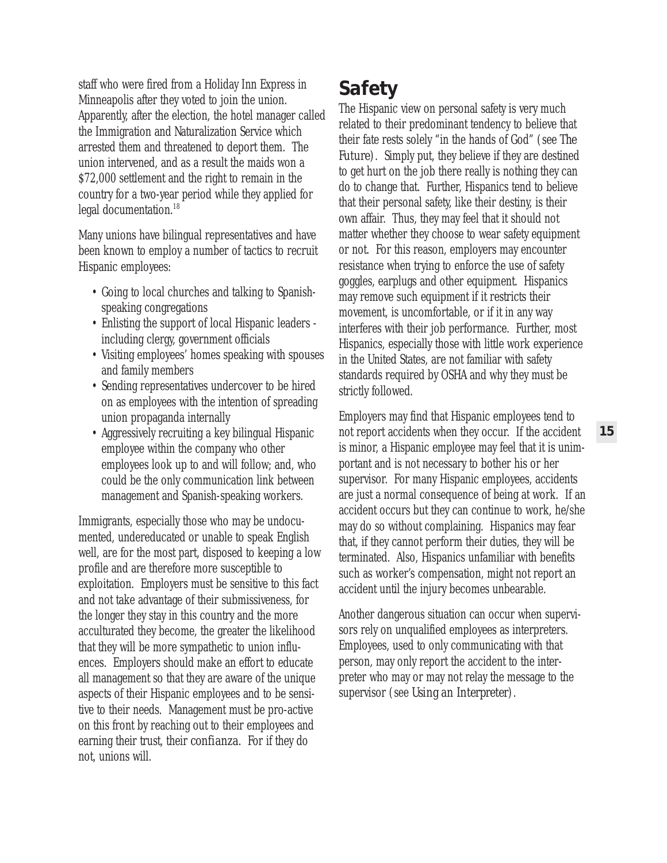staff who were fired from a Holiday Inn Express in Minneapolis after they voted to join the union. Apparently, after the election, the hotel manager called the Immigration and Naturalization Service which arrested them and threatened to deport them. The union intervened, and as a result the maids won a \$72,000 settlement and the right to remain in the country for a two-year period while they applied for legal documentation.<sup>18</sup>

Many unions have bilingual representatives and have been known to employ a number of tactics to recruit Hispanic employees:

- Going to local churches and talking to Spanishspeaking congregations
- Enlisting the support of local Hispanic leaders including clergy, government officials
- Visiting employees' homes speaking with spouses and family members
- Sending representatives undercover to be hired on as employees with the intention of spreading union propaganda internally
- Aggressively recruiting a key bilingual Hispanic employee within the company who other employees look up to and will follow; and, who could be the only communication link between management and Spanish-speaking workers.

Immigrants, especially those who may be undocumented, undereducated or unable to speak English well, are for the most part, disposed to keeping a low profile and are therefore more susceptible to exploitation. Employers must be sensitive to this fact and not take advantage of their submissiveness, for the longer they stay in this country and the more acculturated they become, the greater the likelihood that they will be more sympathetic to union influences. Employers should make an effort to educate all management so that they are aware of the unique aspects of their Hispanic employees and to be sensitive to their needs. Management must be pro-active on this front by reaching out to their employees and earning their trust, their *confianza*. For if they do not, unions will.

### **Safety**

The Hispanic view on personal safety is very much related to their predominant tendency to believe that their fate rests solely "in the hands of God" (see *The Future*). Simply put, they believe if they are destined to get hurt on the job there really is nothing they can do to change that. Further, Hispanics tend to believe that their personal safety, like their destiny, is their own affair. Thus, they may feel that it should not matter whether they choose to wear safety equipment or not. For this reason, employers may encounter resistance when trying to enforce the use of safety goggles, earplugs and other equipment. Hispanics may remove such equipment if it restricts their movement, is uncomfortable, or if it in any way interferes with their job performance. Further, most Hispanics, especially those with little work experience in the United States, are not familiar with safety standards required by OSHA and why they must be strictly followed.

Employers may find that Hispanic employees tend to not report accidents when they occur. If the accident is minor, a Hispanic employee may feel that it is unimportant and is not necessary to bother his or her supervisor. For many Hispanic employees, accidents are just a normal consequence of being at work. If an accident occurs but they can continue to work, he/she may do so without complaining. Hispanics may fear that, if they cannot perform their duties, they will be terminated. Also, Hispanics unfamiliar with benefits such as worker's compensation, might not report an accident until the injury becomes unbearable.

Another dangerous situation can occur when supervisors rely on unqualified employees as interpreters. Employees, used to only communicating with that person, may only report the accident to the interpreter who may or may not relay the message to the supervisor (see *Using an Interpreter*).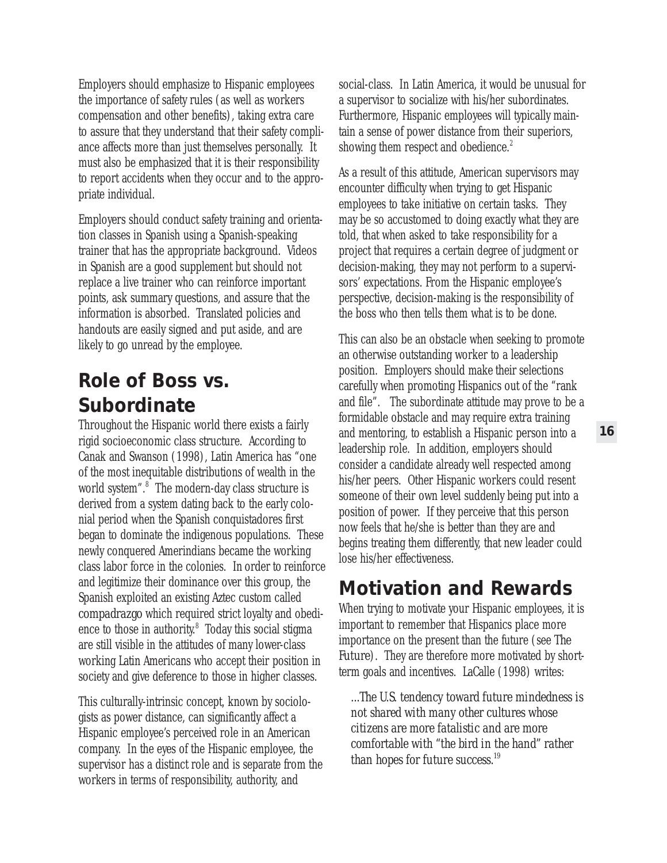Employers should emphasize to Hispanic employees the importance of safety rules (as well as workers compensation and other benefits), taking extra care to assure that they understand that their safety compliance affects more than just themselves personally. It must also be emphasized that it is their responsibility to report accidents when they occur and to the appropriate individual.

Employers should conduct safety training and orientation classes in Spanish using a Spanish-speaking trainer that has the appropriate background. Videos in Spanish are a good supplement but should not replace a live trainer who can reinforce important points, ask summary questions, and assure that the information is absorbed. Translated policies and handouts are easily signed and put aside, and are likely to go unread by the employee.

### **Role of Boss vs. Subordinate**

Throughout the Hispanic world there exists a fairly rigid socioeconomic class structure. According to Canak and Swanson (1998), Latin America has "one of the most inequitable distributions of wealth in the world system".8 The modern-day class structure is derived from a system dating back to the early colonial period when the Spanish conquistadores first began to dominate the indigenous populations. These newly conquered Amerindians became the working class labor force in the colonies. In order to reinforce and legitimize their dominance over this group, the Spanish exploited an existing Aztec custom called *compadrazgo* which required strict loyalty and obedience to those in authority.<sup>8</sup> Today this social stigma are still visible in the attitudes of many lower-class working Latin Americans who accept their position in society and give deference to those in higher classes.

This culturally-intrinsic concept, known by sociologists as power distance, can significantly affect a Hispanic employee's perceived role in an American company. In the eyes of the Hispanic employee, the supervisor has a distinct role and is separate from the workers in terms of responsibility, authority, and

social-class. In Latin America, it would be unusual for a supervisor to socialize with his/her subordinates. Furthermore, Hispanic employees will typically maintain a sense of power distance from their superiors, showing them respect and obedience.<sup>2</sup>

As a result of this attitude, American supervisors may encounter difficulty when trying to get Hispanic employees to take initiative on certain tasks. They may be so accustomed to doing exactly what they are told, that when asked to take responsibility for a project that requires a certain degree of judgment or decision-making, they may not perform to a supervisors' expectations. From the Hispanic employee's perspective, decision-making is the responsibility of the boss who then tells them what is to be done.

This can also be an obstacle when seeking to promote an otherwise outstanding worker to a leadership position. Employers should make their selections carefully when promoting Hispanics out of the "rank and file". The subordinate attitude may prove to be a formidable obstacle and may require extra training and mentoring, to establish a Hispanic person into a leadership role. In addition, employers should consider a candidate already well respected among his/her peers. Other Hispanic workers could resent someone of their own level suddenly being put into a position of power. If they perceive that this person now feels that he/she is better than they are and begins treating them differently, that new leader could lose his/her effectiveness.

### **Motivation and Rewards**

When trying to motivate your Hispanic employees, it is important to remember that Hispanics place more importance on the present than the future (see *The Future*). They are therefore more motivated by shortterm goals and incentives. LaCalle (1998) writes:

*...The U.S. tendency toward future mindedness is not shared with many other cultures whose citizens are more fatalistic and are more comfortable with "the bird in the hand" rather than hopes for future success.19*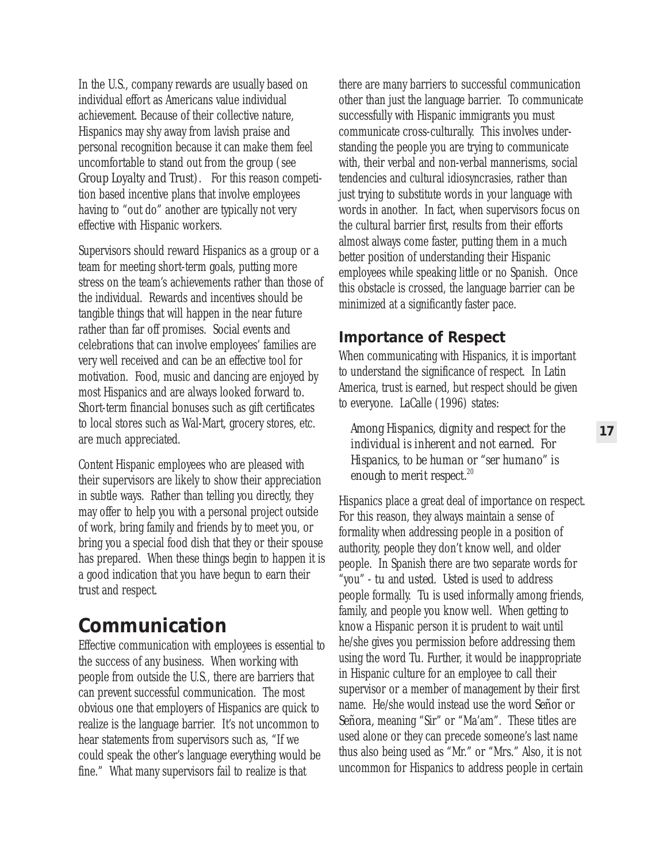In the U.S., company rewards are usually based on individual effort as Americans value individual achievement. Because of their collective nature, Hispanics may shy away from lavish praise and personal recognition because it can make them feel uncomfortable to stand out from the group (see *Group Loyalty and Trust*). For this reason competition based incentive plans that involve employees having to "out do" another are typically not very effective with Hispanic workers.

Supervisors should reward Hispanics as a group or a team for meeting short-term goals, putting more stress on the team's achievements rather than those of the individual. Rewards and incentives should be tangible things that will happen in the near future rather than far off promises. Social events and celebrations that can involve employees' families are very well received and can be an effective tool for motivation. Food, music and dancing are enjoyed by most Hispanics and are always looked forward to. Short-term financial bonuses such as gift certificates to local stores such as Wal-Mart, grocery stores, etc. are much appreciated.

Content Hispanic employees who are pleased with their supervisors are likely to show their appreciation in subtle ways. Rather than telling you directly, they may offer to help you with a personal project outside of work, bring family and friends by to meet you, or bring you a special food dish that they or their spouse has prepared. When these things begin to happen it is a good indication that you have begun to earn their trust and respect.

### **Communication**

Effective communication with employees is essential to the success of any business. When working with people from outside the U.S., there are barriers that can prevent successful communication. The most obvious one that employers of Hispanics are quick to realize is the language barrier. It's not uncommon to hear statements from supervisors such as, "If we could speak the other's language everything would be fine." What many supervisors fail to realize is that

there are many barriers to successful communication other than just the language barrier. To communicate successfully with Hispanic immigrants you must communicate cross-culturally. This involves understanding the people you are trying to communicate with, their verbal and non-verbal mannerisms, social tendencies and cultural idiosyncrasies, rather than just trying to substitute words in your language with words in another. In fact, when supervisors focus on the cultural barrier first, results from their efforts almost always come faster, putting them in a much better position of understanding their Hispanic employees while speaking little or no Spanish. Once this obstacle is crossed, the language barrier can be minimized at a significantly faster pace.

#### **Importance of Respect**

When communicating with Hispanics, it is important to understand the significance of respect. In Latin America, trust is earned, but respect should be given to everyone. LaCalle (1996) states:

*Among Hispanics, dignity and respect for the individual is inherent and not earned. For Hispanics, to be human or "ser humano" is enough to merit respect.*<sup>20</sup>

Hispanics place a great deal of importance on respect. For this reason, they always maintain a sense of formality when addressing people in a position of authority, people they don't know well, and older people. In Spanish there are two separate words for "you" - *tu* and *usted. Usted* is used to address people formally. *Tu* is used informally among friends, family, and people you know well. When getting to know a Hispanic person it is prudent to wait until he/she gives you permission before addressing them using the word *Tu*. Further, it would be inappropriate in Hispanic culture for an employee to call their supervisor or a member of management by their first name. He/she would instead use the word *Señor* or *Señora,* meaning "Sir" or "Ma'am". These titles are used alone or they can precede someone's last name thus also being used as "Mr." or "Mrs." Also, it is not uncommon for Hispanics to address people in certain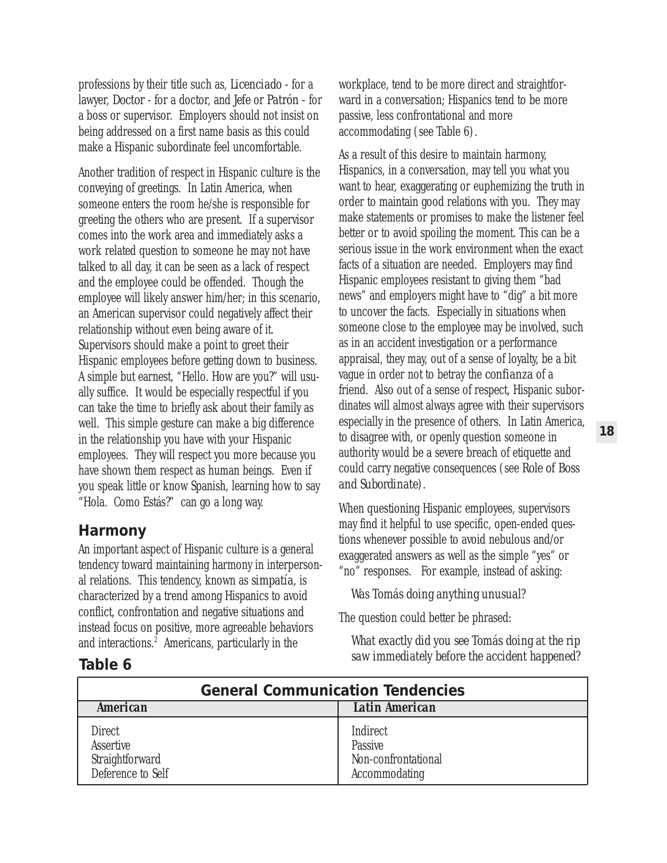professions by their title such as, *Licenciado* - for a lawyer, *Doctor* - for a doctor, and *Jefe* or *Patrón* - for a boss or supervisor. Employers should not insist on being addressed on a first name basis as this could make a Hispanic subordinate feel uncomfortable.

Another tradition of respect in Hispanic culture is the conveying of greetings. In Latin America, when someone enters the room he/she is responsible for greeting the others who are present. If a supervisor comes into the work area and immediately asks a work related question to someone he may not have talked to all day, it can be seen as a lack of respect and the employee could be offended. Though the employee will likely answer him/her; in this scenario, an American supervisor could negatively affect their relationship without even being aware of it. Supervisors should make a point to greet their Hispanic employees before getting down to business. A simple but earnest, "Hello. How are you?" will usually suffice. It would be especially respectful if you can take the time to briefly ask about their family as well. This simple gesture can make a big difference in the relationship you have with your Hispanic employees. They will respect you more because you have shown them respect as human beings. Even if you speak little or know Spanish, learning how to say "Hola. Como Estás?" can go a long way.

#### **Harmony**

An important aspect of Hispanic culture is a general tendency toward maintaining harmony in interpersonal relations. This tendency, known as *simpatía*, is characterized by a trend among Hispanics to avoid conflict, confrontation and negative situations and instead focus on positive, more agreeable behaviors and interactions.<sup>2</sup> Americans, particularly in the

workplace, tend to be more direct and straightforward in a conversation; Hispanics tend to be more passive, less confrontational and more accommodating (see Table 6).

As a result of this desire to maintain harmony, Hispanics, in a conversation, may tell you what you want to hear, exaggerating or euphemizing the truth in order to maintain good relations with you. They may make statements or promises to make the listener feel better or to avoid spoiling the moment. This can be a serious issue in the work environment when the exact facts of a situation are needed. Employers may find Hispanic employees resistant to giving them "bad news" and employers might have to "dig" a bit more to uncover the facts. Especially in situations when someone close to the employee may be involved, such as in an accident investigation or a performance appraisal, they may, out of a sense of loyalty, be a bit vague in order not to betray the *confianza* of a friend. Also out of a sense of respect, Hispanic subordinates will almost always agree with their supervisors especially in the presence of others. In Latin America, to disagree with, or openly question someone in authority would be a severe breach of etiquette and could carry negative consequences (see *Role of Boss and Subordinate*).

When questioning Hispanic employees, supervisors may find it helpful to use specific, open-ended questions whenever possible to avoid nebulous and/or exaggerated answers as well as the simple "yes" or "no" responses. For example, instead of asking:

*Was Tomás doing anything unusual?* 

The question could better be phrased:

*What exactly did you see Tomás doing at the rip saw immediately before the accident happened?*

| <b>General Communication Tendencies</b>                                   |                                                                    |
|---------------------------------------------------------------------------|--------------------------------------------------------------------|
| American                                                                  | Latin American                                                     |
| <b>Direct</b><br><b>Assertive</b><br>Straightforward<br>Deference to Self | <b>Indirect</b><br>Passive<br>Non-confrontational<br>Accommodating |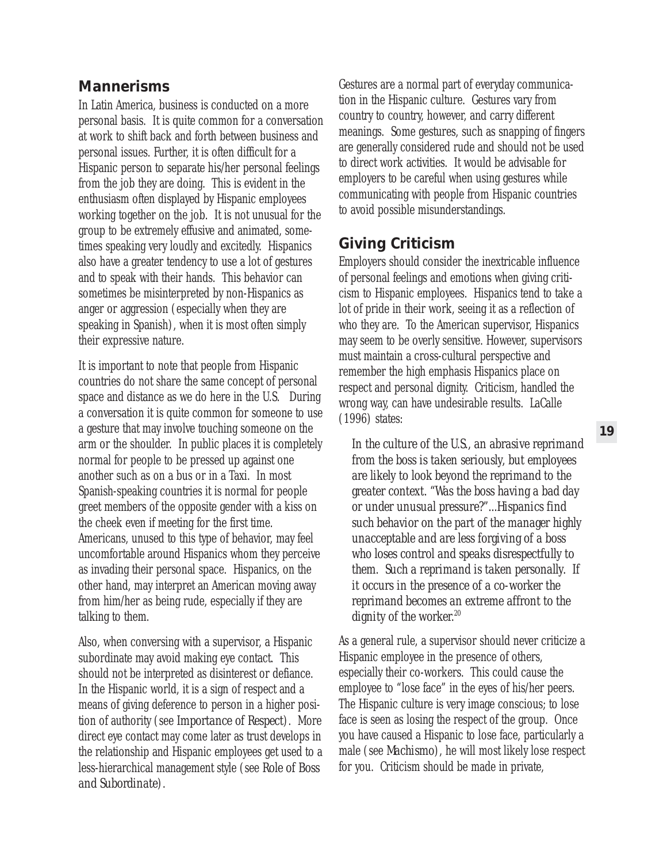#### **Mannerisms**

In Latin America, business is conducted on a more personal basis. It is quite common for a conversation at work to shift back and forth between business and personal issues. Further, it is often difficult for a Hispanic person to separate his/her personal feelings from the job they are doing. This is evident in the enthusiasm often displayed by Hispanic employees working together on the job. It is not unusual for the group to be extremely effusive and animated, sometimes speaking very loudly and excitedly. Hispanics also have a greater tendency to use a lot of gestures and to speak with their hands. This behavior can sometimes be misinterpreted by non-Hispanics as anger or aggression (especially when they are speaking in Spanish), when it is most often simply their expressive nature.

It is important to note that people from Hispanic countries do not share the same concept of personal space and distance as we do here in the U.S. During a conversation it is quite common for someone to use a gesture that may involve touching someone on the arm or the shoulder. In public places it is completely normal for people to be pressed up against one another such as on a bus or in a Taxi. In most Spanish-speaking countries it is normal for people greet members of the opposite gender with a kiss on the cheek even if meeting for the first time. Americans, unused to this type of behavior, may feel uncomfortable around Hispanics whom they perceive as invading their personal space. Hispanics, on the other hand, may interpret an American moving away from him/her as being rude, especially if they are talking to them.

Also, when conversing with a supervisor, a Hispanic subordinate may avoid making eye contact. This should not be interpreted as disinterest or defiance. In the Hispanic world, it is a sign of respect and a means of giving deference to person in a higher position of authority (see *Importance of Respect*). More direct eye contact may come later as trust develops in the relationship and Hispanic employees get used to a less-hierarchical management style (see *Role of Boss and Subordinate*).

Gestures are a normal part of everyday communication in the Hispanic culture. Gestures vary from country to country, however, and carry different meanings. Some gestures, such as snapping of fingers are generally considered rude and should not be used to direct work activities. It would be advisable for employers to be careful when using gestures while communicating with people from Hispanic countries to avoid possible misunderstandings.

#### **Giving Criticism**

Employers should consider the inextricable influence of personal feelings and emotions when giving criticism to Hispanic employees. Hispanics tend to take a lot of pride in their work, seeing it as a reflection of who they are. To the American supervisor, Hispanics may seem to be overly sensitive. However, supervisors must maintain a cross-cultural perspective and remember the high emphasis Hispanics place on respect and personal dignity. Criticism, handled the wrong way, can have undesirable results. LaCalle (1996) states:

*In the culture of the U.S., an abrasive reprimand from the boss is taken seriously, but employees are likely to look beyond the reprimand to the greater context. "Was the boss having a bad day or under unusual pressure?"...Hispanics find such behavior on the part of the manager highly unacceptable and are less forgiving of a boss who loses control and speaks disrespectfully to them. Such a reprimand is taken personally. If it occurs in the presence of a co-worker the reprimand becomes an extreme affront to the dignity of the worker.20*

As a general rule, a supervisor should never criticize a Hispanic employee in the presence of others, especially their co-workers. This could cause the employee to "lose face" in the eyes of his/her peers. The Hispanic culture is very image conscious; to lose face is seen as losing the respect of the group. Once you have caused a Hispanic to lose face, particularly a male (see *Machismo*), he will most likely lose respect for you. Criticism should be made in private,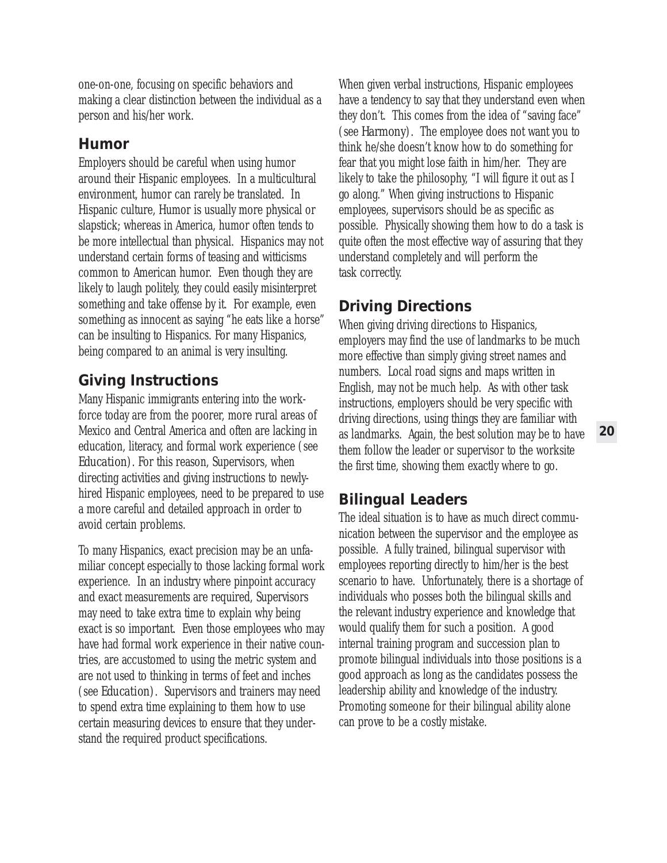one-on-one, focusing on specific behaviors and making a clear distinction between the individual as a person and his/her work.

#### **Humor**

Employers should be careful when using humor around their Hispanic employees. In a multicultural environment, humor can rarely be translated. In Hispanic culture, Humor is usually more physical or slapstick; whereas in America, humor often tends to be more intellectual than physical. Hispanics may not understand certain forms of teasing and witticisms common to American humor. Even though they are likely to laugh politely, they could easily misinterpret something and take offense by it. For example, even something as innocent as saying "he eats like a horse" can be insulting to Hispanics. For many Hispanics, being compared to an animal is very insulting.

#### **Giving Instructions**

Many Hispanic immigrants entering into the workforce today are from the poorer, more rural areas of Mexico and Central America and often are lacking in education, literacy, and formal work experience (see *Education*). For this reason, Supervisors, when directing activities and giving instructions to newlyhired Hispanic employees, need to be prepared to use a more careful and detailed approach in order to avoid certain problems.

To many Hispanics, exact precision may be an unfamiliar concept especially to those lacking formal work experience. In an industry where pinpoint accuracy and exact measurements are required, Supervisors may need to take extra time to explain why being exact is so important. Even those employees who may have had formal work experience in their native countries, are accustomed to using the metric system and are not used to thinking in terms of feet and inches (see *Education*). Supervisors and trainers may need to spend extra time explaining to them how to use certain measuring devices to ensure that they understand the required product specifications.

When given verbal instructions, Hispanic employees have a tendency to say that they understand even when they don't. This comes from the idea of "saving face" (see *Harmony*). The employee does not want you to think he/she doesn't know how to do something for fear that you might lose faith in him/her. They are likely to take the philosophy, "I will figure it out as I go along." When giving instructions to Hispanic employees, supervisors should be as specific as possible. Physically showing them how to do a task is quite often the most effective way of assuring that they understand completely and will perform the task correctly.

#### **Driving Directions**

When giving driving directions to Hispanics, employers may find the use of landmarks to be much more effective than simply giving street names and numbers. Local road signs and maps written in English, may not be much help. As with other task instructions, employers should be very specific with driving directions, using things they are familiar with as landmarks. Again, the best solution may be to have them follow the leader or supervisor to the worksite the first time, showing them exactly where to go.

#### **Bilingual Leaders**

The ideal situation is to have as much direct communication between the supervisor and the employee as possible. A fully trained, bilingual supervisor with employees reporting directly to him/her is the best scenario to have. Unfortunately, there is a shortage of individuals who posses both the bilingual skills and the relevant industry experience and knowledge that would qualify them for such a position. A good internal training program and succession plan to promote bilingual individuals into those positions is a good approach as long as the candidates possess the leadership ability and knowledge of the industry. Promoting someone for their bilingual ability alone can prove to be a costly mistake.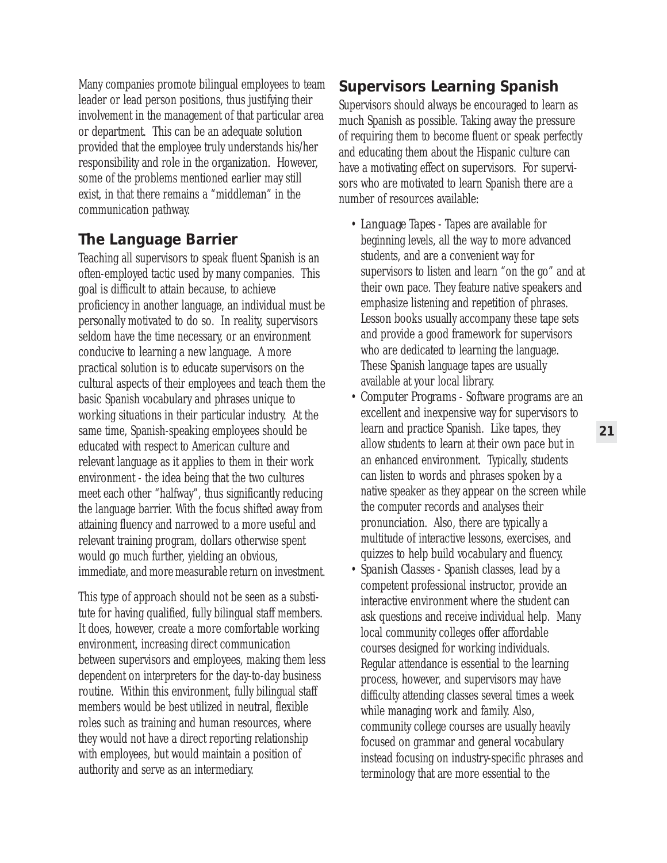Many companies promote bilingual employees to team leader or lead person positions, thus justifying their involvement in the management of that particular area or department. This can be an adequate solution provided that the employee truly understands his/her responsibility and role in the organization. However, some of the problems mentioned earlier may still exist, in that there remains a "middleman" in the communication pathway.

#### **The Language Barrier**

Teaching all supervisors to speak fluent Spanish is an often-employed tactic used by many companies. This goal is difficult to attain because, to achieve proficiency in another language, an individual must be personally motivated to do so. In reality, supervisors seldom have the time necessary, or an environment conducive to learning a new language. A more practical solution is to educate supervisors on the cultural aspects of their employees and teach them the basic Spanish vocabulary and phrases unique to working situations in their particular industry. At the same time, Spanish-speaking employees should be educated with respect to American culture and relevant language as it applies to them in their work environment - the idea being that the two cultures meet each other "halfway", thus significantly reducing the language barrier. With the focus shifted away from attaining fluency and narrowed to a more useful and relevant training program, dollars otherwise spent would go much further, yielding an obvious, immediate, and more measurable return on investment.

This type of approach should not be seen as a substitute for having qualified, fully bilingual staff members. It does, however, create a more comfortable working environment, increasing direct communication between supervisors and employees, making them less dependent on interpreters for the day-to-day business routine. Within this environment, fully bilingual staff members would be best utilized in neutral, flexible roles such as training and human resources, where they would not have a direct reporting relationship with employees, but would maintain a position of authority and serve as an intermediary.

#### **Supervisors Learning Spanish**

Supervisors should always be encouraged to learn as much Spanish as possible. Taking away the pressure of requiring them to become fluent or speak perfectly and educating them about the Hispanic culture can have a motivating effect on supervisors. For supervisors who are motivated to learn Spanish there are a number of resources available:

- *Language Tapes* Tapes are available for beginning levels, all the way to more advanced students, and are a convenient way for supervisors to listen and learn "on the go" and at their own pace. They feature native speakers and emphasize listening and repetition of phrases. Lesson books usually accompany these tape sets and provide a good framework for supervisors who are dedicated to learning the language. These Spanish language tapes are usually available at your local library.
- *Computer Programs* Software programs are an excellent and inexpensive way for supervisors to learn and practice Spanish. Like tapes, they allow students to learn at their own pace but in an enhanced environment. Typically, students can listen to words and phrases spoken by a native speaker as they appear on the screen while the computer records and analyses their pronunciation. Also, there are typically a multitude of interactive lessons, exercises, and quizzes to help build vocabulary and fluency.
- *Spanish Classes* Spanish classes, lead by a competent professional instructor, provide an interactive environment where the student can ask questions and receive individual help. Many local community colleges offer affordable courses designed for working individuals. Regular attendance is essential to the learning process, however, and supervisors may have difficulty attending classes several times a week while managing work and family. Also, community college courses are usually heavily focused on grammar and general vocabulary instead focusing on industry-specific phrases and terminology that are more essential to the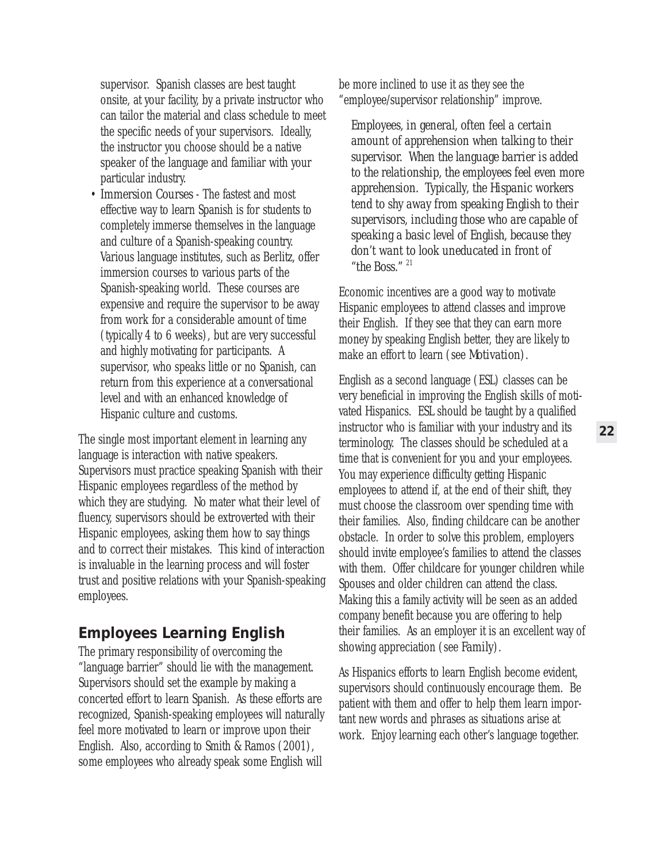supervisor. Spanish classes are best taught onsite, at your facility, by a private instructor who can tailor the material and class schedule to meet the specific needs of your supervisors. Ideally, the instructor you choose should be a native speaker of the language and familiar with your particular industry.

• *Immersion Courses* - The fastest and most effective way to learn Spanish is for students to completely immerse themselves in the language and culture of a Spanish-speaking country. Various language institutes, such as Berlitz, offer immersion courses to various parts of the Spanish-speaking world. These courses are expensive and require the supervisor to be away from work for a considerable amount of time (typically 4 to 6 weeks), but are very successful and highly motivating for participants. A supervisor, who speaks little or no Spanish, can return from this experience at a conversational level and with an enhanced knowledge of Hispanic culture and customs.

The single most important element in learning any language is interaction with native speakers. Supervisors must practice speaking Spanish with their Hispanic employees regardless of the method by which they are studying. No mater what their level of fluency, supervisors should be extroverted with their Hispanic employees, asking them how to say things and to correct their mistakes. This kind of interaction is invaluable in the learning process and will foster trust and positive relations with your Spanish-speaking employees.

#### **Employees Learning English**

The primary responsibility of overcoming the "language barrier" should lie with the management. Supervisors should set the example by making a concerted effort to learn Spanish. As these efforts are recognized, Spanish-speaking employees will naturally feel more motivated to learn or improve upon their English. Also, according to Smith & Ramos (2001), some employees who already speak some English will

be more inclined to use it as they see the "employee/supervisor relationship" improve.

*Employees, in general, often feel a certain amount of apprehension when talking to their supervisor. When the language barrier is added to the relationship, the employees feel even more apprehension. Typically, the Hispanic workers tend to shy away from speaking English to their supervisors, including those who are capable of speaking a basic level of English, because they don't want to look uneducated in front of "the Boss."* <sup>21</sup>

Economic incentives are a good way to motivate Hispanic employees to attend classes and improve their English. If they see that they can earn more money by speaking English better, they are likely to make an effort to learn (see *Motivation*).

English as a second language (ESL) classes can be very beneficial in improving the English skills of motivated Hispanics. ESL should be taught by a qualified instructor who is familiar with your industry and its terminology. The classes should be scheduled at a time that is convenient for you and your employees. You may experience difficulty getting Hispanic employees to attend if, at the end of their shift, they must choose the classroom over spending time with their families. Also, finding childcare can be another obstacle. In order to solve this problem, employers should invite employee's families to attend the classes with them. Offer childcare for younger children while Spouses and older children can attend the class. Making this a family activity will be seen as an added company benefit because you are offering to help their families. As an employer it is an excellent way of showing appreciation (see *Family*).

As Hispanics efforts to learn English become evident, supervisors should continuously encourage them. Be patient with them and offer to help them learn important new words and phrases as situations arise at work. Enjoy learning each other's language together.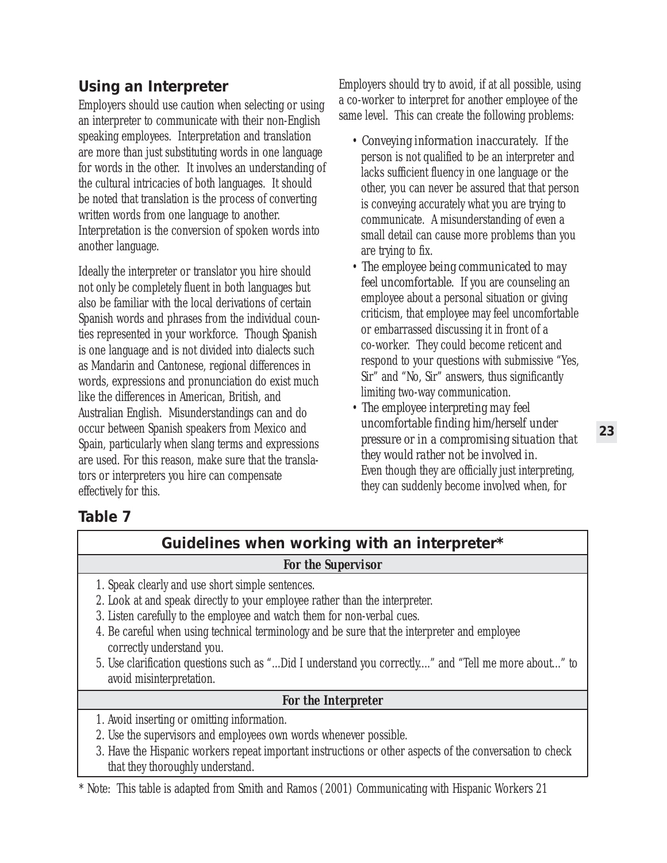#### **Using an Interpreter**

Employers should use caution when selecting or using an interpreter to communicate with their non-English speaking employees. Interpretation and translation are more than just substituting words in one language for words in the other. It involves an understanding of the cultural intricacies of both languages. It should be noted that translation is the process of converting written words from one language to another. Interpretation is the conversion of spoken words into another language.

Ideally the interpreter or translator you hire should not only be completely fluent in both languages but also be familiar with the local derivations of certain Spanish words and phrases from the individual counties represented in your workforce. Though Spanish is one language and is not divided into dialects such as Mandarin and Cantonese, regional differences in words, expressions and pronunciation do exist much like the differences in American, British, and Australian English. Misunderstandings can and do occur between Spanish speakers from Mexico and Spain, particularly when slang terms and expressions are used. For this reason, make sure that the translators or interpreters you hire can compensate effectively for this.

Employers should try to avoid, if at all possible, using a co-worker to interpret for another employee of the same level. This can create the following problems:

- *Conveying information inaccurately.* If the person is not qualified to be an interpreter and lacks sufficient fluency in one language or the other, you can never be assured that that person is conveying accurately what you are trying to communicate. A misunderstanding of even a small detail can cause more problems than you are trying to fix.
- *The employee being communicated to may feel uncomfortable.* If you are counseling an employee about a personal situation or giving criticism, that employee may feel uncomfortable or embarrassed discussing it in front of a co-worker. They could become reticent and respond to your questions with submissive "Yes, Sir" and "No, Sir" answers, thus significantly limiting two-way communication.
- *The employee interpreting may feel uncomfortable finding him/herself under pressure or in a compromising situation that they would rather not be involved in*. Even though they are officially just interpreting, they can suddenly become involved when, for

#### **Table 7**

| Guidelines when working with an interpreter*                                                                                                                                                                                                                                                                                                                                                                                                                               |
|----------------------------------------------------------------------------------------------------------------------------------------------------------------------------------------------------------------------------------------------------------------------------------------------------------------------------------------------------------------------------------------------------------------------------------------------------------------------------|
| <b>For the Supervisor</b>                                                                                                                                                                                                                                                                                                                                                                                                                                                  |
| 1. Speak clearly and use short simple sentences.<br>2. Look at and speak directly to your employee rather than the interpreter.<br>3. Listen carefully to the employee and watch them for non-verbal cues.<br>4. Be careful when using technical terminology and be sure that the interpreter and employee<br>correctly understand you.<br>5. Use clarification questions such as "Did I understand you correctly" and "Tell me more about" to<br>avoid misinterpretation. |
| <b>For the Interpreter</b>                                                                                                                                                                                                                                                                                                                                                                                                                                                 |
| 1. Avoid inserting or omitting information.<br>2. Use the supervisors and employees own words whenever possible.<br>3. Have the Hispanic workers repeat important instructions or other aspects of the conversation to check<br>that they thoroughly understand.                                                                                                                                                                                                           |

\* Note: This table is adapted from Smith and Ramos (2001) Communicating with Hispanic Workers 21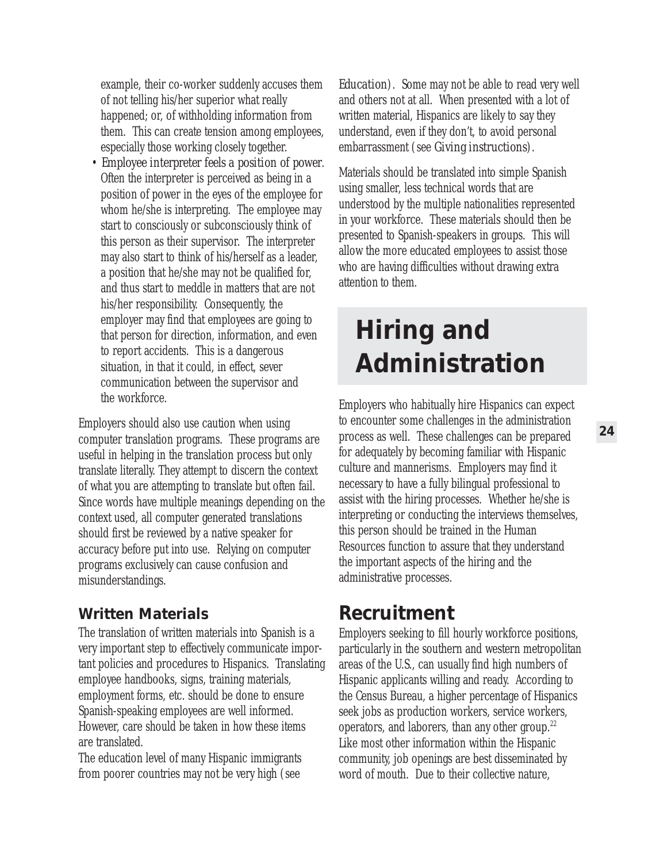example, their co-worker suddenly accuses them of not telling his/her superior what really happened; or, of withholding information from them. This can create tension among employees, especially those working closely together.

• *Employee interpreter feels a position of power*. Often the interpreter is perceived as being in a position of power in the eyes of the employee for whom he/she is interpreting. The employee may start to consciously or subconsciously think of this person as their supervisor. The interpreter may also start to think of his/herself as a leader, a position that he/she may not be qualified for, and thus start to meddle in matters that are not his/her responsibility. Consequently, the employer may find that employees are going to that person for direction, information, and even to report accidents. This is a dangerous situation, in that it could, in effect, sever communication between the supervisor and the workforce.

Employers should also use caution when using computer translation programs. These programs are useful in helping in the translation process but only translate literally. They attempt to discern the context of what you are attempting to translate but often fail. Since words have multiple meanings depending on the context used, all computer generated translations should first be reviewed by a native speaker for accuracy before put into use. Relying on computer programs exclusively can cause confusion and misunderstandings.

#### **Written Materials**

The translation of written materials into Spanish is a very important step to effectively communicate important policies and procedures to Hispanics. Translating employee handbooks, signs, training materials, employment forms, etc. should be done to ensure Spanish-speaking employees are well informed. However, care should be taken in how these items are translated.

The education level of many Hispanic immigrants from poorer countries may not be very high (see

*Education*). Some may not be able to read very well and others not at all. When presented with a lot of written material, Hispanics are likely to say they understand, even if they don't, to avoid personal embarrassment (see *Giving instructions*).

Materials should be translated into simple Spanish using smaller, less technical words that are understood by the multiple nationalities represented in your workforce. These materials should then be presented to Spanish-speakers in groups. This will allow the more educated employees to assist those who are having difficulties without drawing extra attention to them.

# **Hiring and Administration**

Employers who habitually hire Hispanics can expect to encounter some challenges in the administration process as well. These challenges can be prepared for adequately by becoming familiar with Hispanic culture and mannerisms. Employers may find it necessary to have a fully bilingual professional to assist with the hiring processes. Whether he/she is interpreting or conducting the interviews themselves, this person should be trained in the Human Resources function to assure that they understand the important aspects of the hiring and the administrative processes.

### **Recruitment**

Employers seeking to fill hourly workforce positions, particularly in the southern and western metropolitan areas of the U.S., can usually find high numbers of Hispanic applicants willing and ready. According to the Census Bureau, a higher percentage of Hispanics seek jobs as production workers, service workers, operators, and laborers, than any other group. $22$ Like most other information within the Hispanic community, job openings are best disseminated by word of mouth. Due to their collective nature,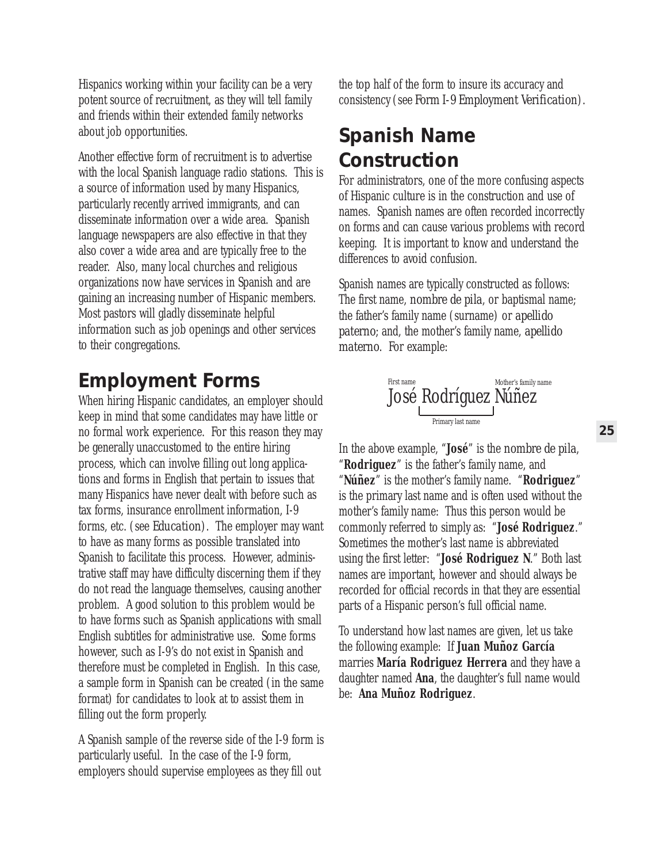Hispanics working within your facility can be a very potent source of recruitment, as they will tell family and friends within their extended family networks about job opportunities.

Another effective form of recruitment is to advertise with the local Spanish language radio stations. This is a source of information used by many Hispanics, particularly recently arrived immigrants, and can disseminate information over a wide area. Spanish language newspapers are also effective in that they also cover a wide area and are typically free to the reader. Also, many local churches and religious organizations now have services in Spanish and are gaining an increasing number of Hispanic members. Most pastors will gladly disseminate helpful information such as job openings and other services to their congregations.

### **Employment Forms**

When hiring Hispanic candidates, an employer should keep in mind that some candidates may have little or no formal work experience. For this reason they may be generally unaccustomed to the entire hiring process, which can involve filling out long applications and forms in English that pertain to issues that many Hispanics have never dealt with before such as tax forms, insurance enrollment information, I-9 forms, etc. (see *Education*). The employer may want to have as many forms as possible translated into Spanish to facilitate this process. However, administrative staff may have difficulty discerning them if they do not read the language themselves, causing another problem. A good solution to this problem would be to have forms such as Spanish applications with small English subtitles for administrative use. Some forms however, such as I-9's do not exist in Spanish and therefore must be completed in English. In this case, a sample form in Spanish can be created (in the same format) for candidates to look at to assist them in filling out the form properly.

A Spanish sample of the reverse side of the I-9 form is particularly useful. In the case of the I-9 form, employers should supervise employees as they fill out

the top half of the form to insure its accuracy and consistency (see *Form I-9 Employment Verification*).

### **Spanish Name Construction**

For administrators, one of the more confusing aspects of Hispanic culture is in the construction and use of names. Spanish names are often recorded incorrectly on forms and can cause various problems with record keeping. It is important to know and understand the differences to avoid confusion.

Spanish names are typically constructed as follows: The first name, *nombre de pila*, or baptismal name; the father's family name (surname) or *apellido paterno*; and, the mother's family name, *apellido materno*. For example:



In the above example, "**José**" is the *nombre de pila*, "**Rodriguez**" is the father's family name, and "**Núñez**" is the mother's family name. "**Rodriguez**" is the primary last name and is often used without the mother's family name: Thus this person would be commonly referred to simply as: "**José Rodriguez**." Sometimes the mother's last name is abbreviated using the first letter: "**José Rodriguez N**." Both last names are important, however and should always be recorded for official records in that they are essential parts of a Hispanic person's full official name.

To understand how last names are given, let us take the following example: If **Juan Muñoz García** marries **María Rodriguez Herrera** and they have a daughter named **Ana**, the daughter's full name would be: **Ana Muñoz Rodriguez**.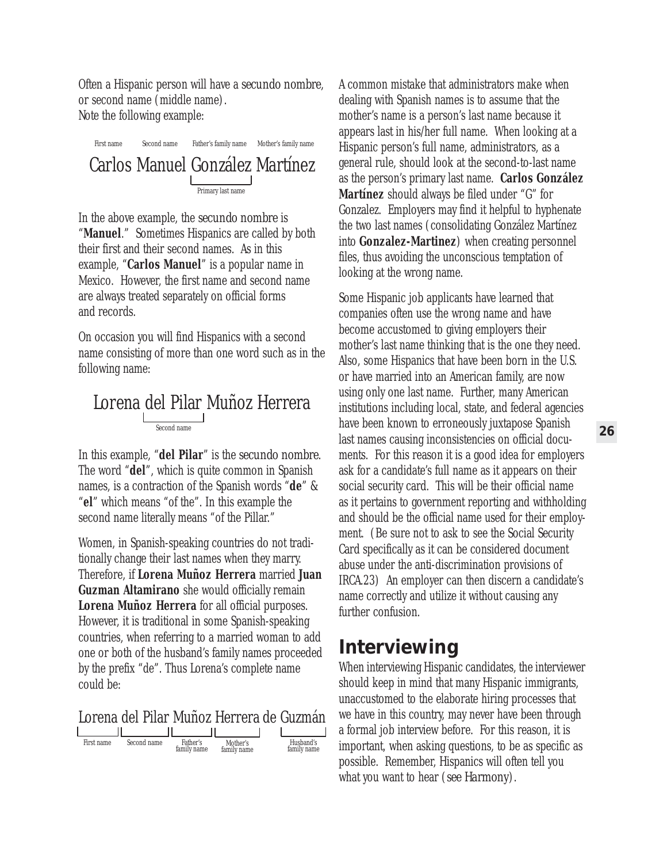Often a Hispanic person will have a *secundo nombre*, or second name (middle name). Note the following example:

#### Carlos Manuel González Martínez Primary last name First name Second name Father's family name Mother's family name

In the above example, the *secundo nombre* is "Manuel." Sometimes Hispanics are called by both their first and their second names. As in this example, "**Carlos Manuel**" is a popular name in Mexico. However, the first name and second name are always treated separately on official forms and records.

On occasion you will find Hispanics with a second name consisting of more than one word such as in the following name:

#### Lorena del Pilar Muñoz Herrera  $\frac{\sqrt{S} \cdot \sqrt{S}}{S}$

In this example, "**del Pilar**" is the *secundo nombre*. The word "**del**", which is quite common in Spanish names, is a contraction of the Spanish words "**de**" & "**el**" which means "of the". In this example the second name literally means "of the Pillar."

Women, in Spanish-speaking countries do not traditionally change their last names when they marry. Therefore, if **Lorena Muñoz Herrera** married **Juan Guzman Altamirano** she would officially remain **Lorena Muñoz Herrera** for all official purposes. However, it is traditional in some Spanish-speaking countries, when referring to a married woman to add one or both of the husband's family names proceeded by the prefix "de". Thus Lorena's complete name could be:



A common mistake that administrators make when dealing with Spanish names is to assume that the mother's name is a person's last name because it appears last in his/her full name. When looking at a Hispanic person's full name, administrators, as a general rule, should look at the second-to-last name as the person's primary last name. **Carlos González Martínez** should always be filed under "G" for Gonzalez. Employers may find it helpful to hyphenate the two last names (consolidating González Martínez into **Gonzalez-Martinez**) when creating personnel files, thus avoiding the unconscious temptation of looking at the wrong name.

Some Hispanic job applicants have learned that companies often use the wrong name and have become accustomed to giving employers their mother's last name thinking that is the one they need. Also, some Hispanics that have been born in the U.S. or have married into an American family, are now using only one last name. Further, many American institutions including local, state, and federal agencies have been known to erroneously juxtapose Spanish last names causing inconsistencies on official documents. For this reason it is a good idea for employers ask for a candidate's full name as it appears on their social security card. This will be their official name as it pertains to government reporting and withholding and should be the official name used for their employment. (Be sure not to ask to see the Social Security Card specifically as it can be considered document abuse under the anti-discrimination provisions of IRCA.23) An employer can then discern a candidate's name correctly and utilize it without causing any further confusion.

### **Interviewing**

When interviewing Hispanic candidates, the interviewer should keep in mind that many Hispanic immigrants, unaccustomed to the elaborate hiring processes that we have in this country, may never have been through a formal job interview before. For this reason, it is important, when asking questions, to be as specific as possible. Remember, Hispanics will often tell you what you want to hear (*see Harmony*).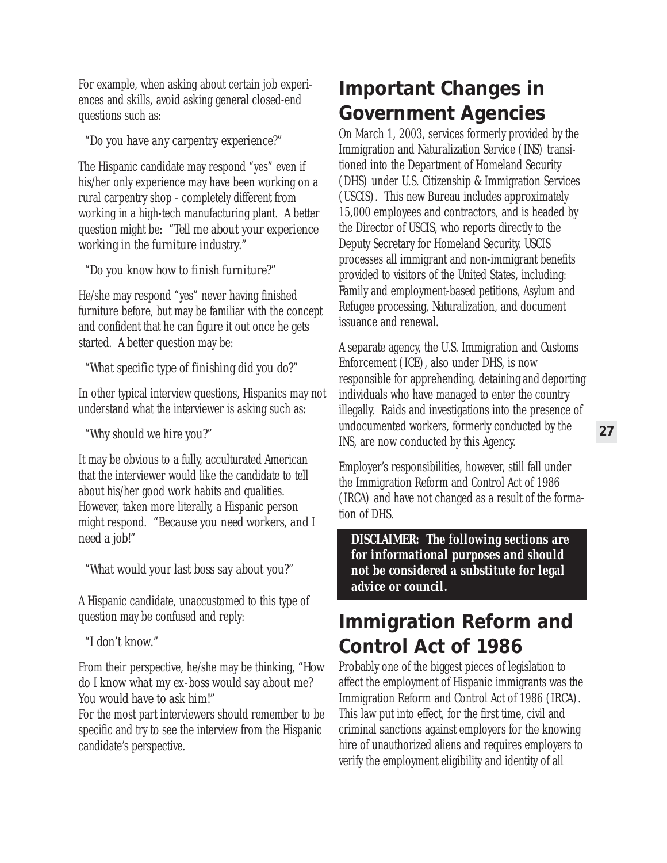For example, when asking about certain job experiences and skills, avoid asking general closed-end questions such as:

*"Do you have any carpentry experience?"* 

The Hispanic candidate may respond "yes" even if his/her only experience may have been working on a rural carpentry shop - completely different from working in a high-tech manufacturing plant. A better question might be: *"Tell me about your experience working in the furniture industry."* 

#### *"Do you know how to finish furniture?"*

He/she may respond "yes" never having finished furniture before, but may be familiar with the concept and confident that he can figure it out once he gets started. A better question may be:

#### *"What specific type of finishing did you do?"*

In other typical interview questions, Hispanics may not understand what the interviewer is asking such as:

#### *"Why should we hire you?"*

It may be obvious to a fully, acculturated American that the interviewer would like the candidate to tell about his/her good work habits and qualities. However, taken more literally, a Hispanic person might respond. *"Because you need workers, and I need a job!"* 

*"What would your last boss say about you?"*

A Hispanic candidate, unaccustomed to this type of question may be confused and reply:

*"I don't know."*

From their perspective, he/she may be thinking, *"How do I know what my ex-boss would say about me? You would have to ask him!"* 

For the most part interviewers should remember to be specific and try to see the interview from the Hispanic candidate's perspective.

### **Important Changes in Government Agencies**

On March 1, 2003, services formerly provided by the Immigration and Naturalization Service (INS) transitioned into the Department of Homeland Security (DHS) under U.S. Citizenship & Immigration Services (USCIS). This new Bureau includes approximately 15,000 employees and contractors, and is headed by the Director of USCIS, who reports directly to the Deputy Secretary for Homeland Security. USCIS processes all immigrant and non-immigrant benefits provided to visitors of the United States, including: Family and employment-based petitions, Asylum and Refugee processing, Naturalization, and document issuance and renewal.

A separate agency, the U.S. Immigration and Customs Enforcement (ICE), also under DHS, is now responsible for apprehending, detaining and deporting individuals who have managed to enter the country illegally. Raids and investigations into the presence of undocumented workers, formerly conducted by the INS, are now conducted by this Agency.

Employer's responsibilities, however, still fall under the Immigration Reform and Control Act of 1986 (IRCA) and have not changed as a result of the formation of DHS.

*DISCLAIMER: The following sections are for informational purposes and should not be considered a substitute for legal advice or council.*

### **Immigration Reform and Control Act of 1986**

Probably one of the biggest pieces of legislation to affect the employment of Hispanic immigrants was the Immigration Reform and Control Act of 1986 (IRCA). This law put into effect, for the first time, civil and criminal sanctions against employers for the knowing hire of unauthorized aliens and requires employers to verify the employment eligibility and identity of all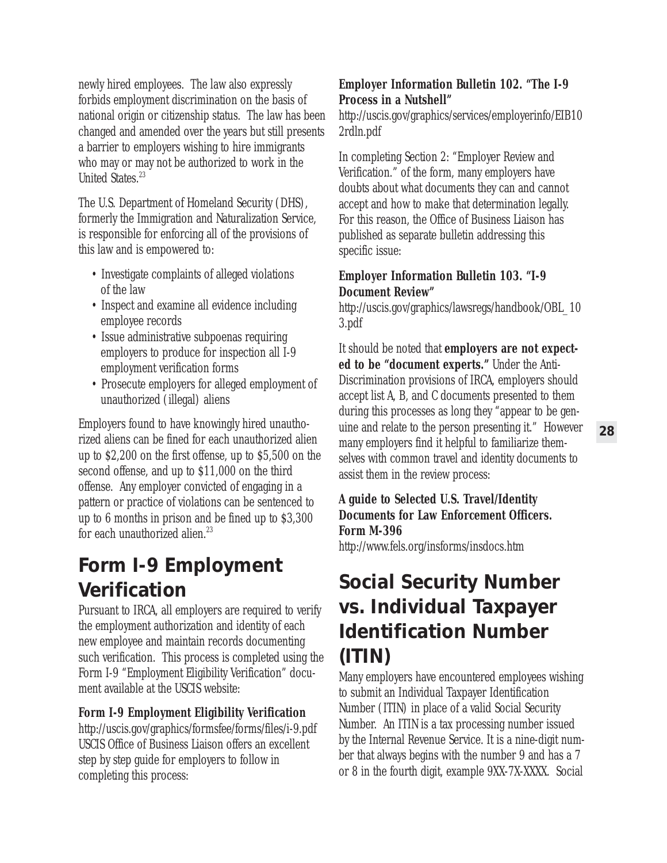newly hired employees. The law also expressly forbids employment discrimination on the basis of national origin or citizenship status. The law has been changed and amended over the years but still presents a barrier to employers wishing to hire immigrants who may or may not be authorized to work in the United States.<sup>23</sup>

The U.S. Department of Homeland Security (DHS), formerly the Immigration and Naturalization Service, is responsible for enforcing all of the provisions of this law and is empowered to:

- Investigate complaints of alleged violations of the law
- Inspect and examine all evidence including employee records
- Issue administrative subpoenas requiring employers to produce for inspection all I-9 employment verification forms
- Prosecute employers for alleged employment of unauthorized (illegal) aliens

Employers found to have knowingly hired unauthorized aliens can be fined for each unauthorized alien up to \$2,200 on the first offense, up to \$5,500 on the second offense, and up to \$11,000 on the third offense. Any employer convicted of engaging in a pattern or practice of violations can be sentenced to up to 6 months in prison and be fined up to \$3,300 for each unauthorized alien.<sup>23</sup>

### **Form I-9 Employment Verification**

Pursuant to IRCA, all employers are required to verify the employment authorization and identity of each new employee and maintain records documenting such verification. This process is completed using the Form I-9 "Employment Eligibility Verification" document available at the USCIS website:

#### **Form I-9 Employment Eligibility Verification**

http://uscis.gov/graphics/formsfee/forms/files/i-9.pdf USCIS Office of Business Liaison offers an excellent step by step guide for employers to follow in completing this process:

#### **Employer Information Bulletin 102. "The I-9 Process in a Nutshell"**

http://uscis.gov/graphics/services/employerinfo/EIB10 2rdln.pdf

In completing Section 2: "Employer Review and Verification." of the form, many employers have doubts about what documents they can and cannot accept and how to make that determination legally. For this reason, the Office of Business Liaison has published as separate bulletin addressing this specific issue:

#### **Employer Information Bulletin 103. "I-9 Document Review"**

http://uscis.gov/graphics/lawsregs/handbook/OBL\_10 3.pdf

It should be noted that **employers are not expected to be "document experts."** Under the Anti-Discrimination provisions of IRCA, employers should accept list A, B, and C documents presented to them during this processes as long they "appear to be genuine and relate to the person presenting it." However many employers find it helpful to familiarize themselves with common travel and identity documents to assist them in the review process:

#### **A guide to Selected U.S. Travel/Identity Documents for Law Enforcement Officers. Form M-396**

http://www.fels.org/insforms/insdocs.htm

### **Social Security Number vs. Individual Taxpayer Identification Number (ITIN)**

Many employers have encountered employees wishing to submit an Individual Taxpayer Identification Number (ITIN) in place of a valid Social Security Number. An ITIN is a tax processing number issued by the Internal Revenue Service. It is a nine-digit number that always begins with the number 9 and has a 7 or 8 in the fourth digit, example 9XX-7X-XXXX. Social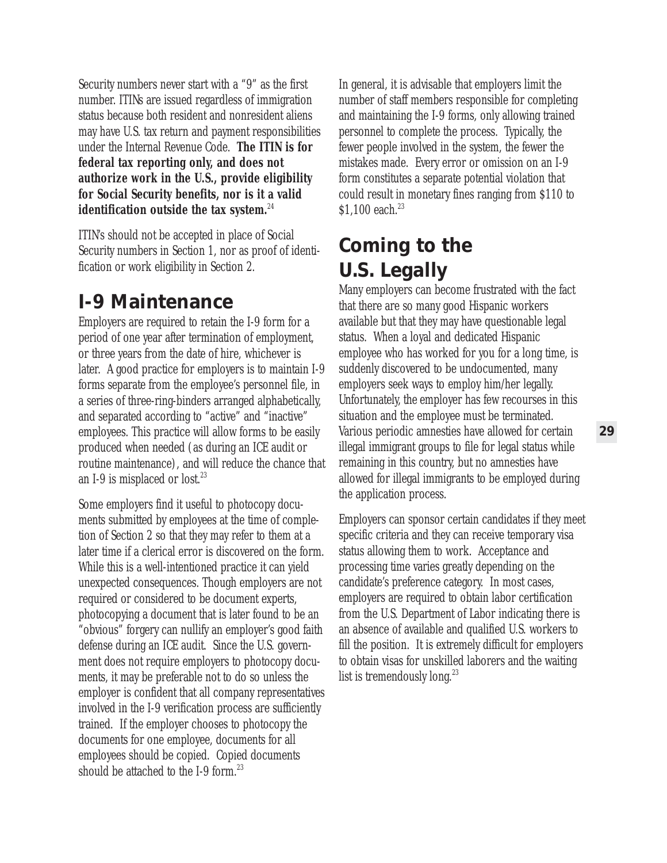Security numbers never start with a "9" as the first number. ITINs are issued regardless of immigration status because both resident and nonresident aliens may have U.S. tax return and payment responsibilities under the Internal Revenue Code. **The ITIN is for federal tax reporting only, and does not authorize work in the U.S., provide eligibility for Social Security benefits, nor is it a valid identification outside the tax system.**<sup>24</sup>

ITIN's should not be accepted in place of Social Security numbers in Section 1, nor as proof of identification or work eligibility in Section 2.

### **I-9 Maintenance**

Employers are required to retain the I-9 form for a period of one year after termination of employment, or three years from the date of hire, whichever is later. A good practice for employers is to maintain I-9 forms separate from the employee's personnel file, in a series of three-ring-binders arranged alphabetically, and separated according to "active" and "inactive" employees. This practice will allow forms to be easily produced when needed (as during an ICE audit or routine maintenance), and will reduce the chance that an I-9 is misplaced or lost. $23$ 

Some employers find it useful to photocopy documents submitted by employees at the time of completion of Section 2 so that they may refer to them at a later time if a clerical error is discovered on the form. While this is a well-intentioned practice it can yield unexpected consequences. Though employers are not required or considered to be document experts, photocopying a document that is later found to be an "obvious" forgery can nullify an employer's good faith defense during an ICE audit. Since the U.S. government does not require employers to photocopy documents, it may be preferable not to do so unless the employer is confident that all company representatives involved in the I-9 verification process are sufficiently trained. If the employer chooses to photocopy the documents for one employee, documents for all employees should be copied. Copied documents should be attached to the I-9 form. $23$ 

In general, it is advisable that employers limit the number of staff members responsible for completing and maintaining the I-9 forms, only allowing trained personnel to complete the process. Typically, the fewer people involved in the system, the fewer the mistakes made. Every error or omission on an I-9 form constitutes a separate potential violation that could result in monetary fines ranging from \$110 to \$1,100 each.<sup>23</sup>

### **Coming to the U.S. Legally**

Many employers can become frustrated with the fact that there are so many good Hispanic workers available but that they may have questionable legal status. When a loyal and dedicated Hispanic employee who has worked for you for a long time, is suddenly discovered to be undocumented, many employers seek ways to employ him/her legally. Unfortunately, the employer has few recourses in this situation and the employee must be terminated. Various periodic amnesties have allowed for certain illegal immigrant groups to file for legal status while remaining in this country, but no amnesties have allowed for illegal immigrants to be employed during the application process.

Employers can sponsor certain candidates if they meet specific criteria and they can receive temporary visa status allowing them to work. Acceptance and processing time varies greatly depending on the candidate's preference category. In most cases, employers are required to obtain labor certification from the U.S. Department of Labor indicating there is an absence of available and qualified U.S. workers to fill the position. It is extremely difficult for employers to obtain visas for unskilled laborers and the waiting list is tremendously long.<sup>23</sup>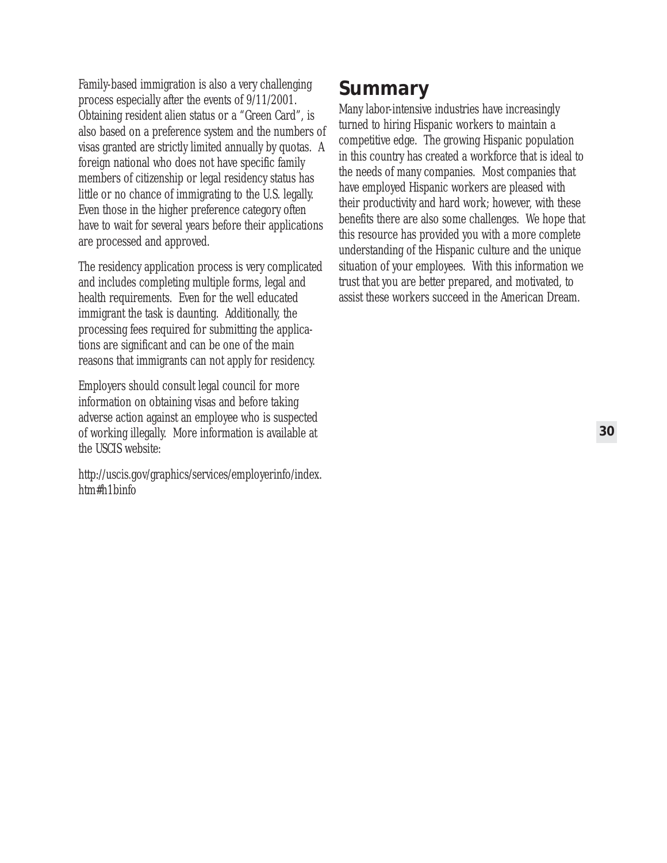Family-based immigration is also a very challenging process especially after the events of 9/11/2001. Obtaining resident alien status or a "Green Card", is also based on a preference system and the numbers of visas granted are strictly limited annually by quotas. A foreign national who does not have specific family members of citizenship or legal residency status has little or no chance of immigrating to the U.S. legally. Even those in the higher preference category often have to wait for several years before their applications are processed and approved.

The residency application process is very complicated and includes completing multiple forms, legal and health requirements. Even for the well educated immigrant the task is daunting. Additionally, the processing fees required for submitting the applications are significant and can be one of the main reasons that immigrants can not apply for residency.

Employers should consult legal council for more information on obtaining visas and before taking adverse action against an employee who is suspected of working illegally. More information is available at the USCIS website:

http://uscis.gov/graphics/services/employerinfo/index. htm#h1binfo

### **Summary**

Many labor-intensive industries have increasingly turned to hiring Hispanic workers to maintain a competitive edge. The growing Hispanic population in this country has created a workforce that is ideal to the needs of many companies. Most companies that have employed Hispanic workers are pleased with their productivity and hard work; however, with these benefits there are also some challenges. We hope that this resource has provided you with a more complete understanding of the Hispanic culture and the unique situation of your employees. With this information we trust that you are better prepared, and motivated, to assist these workers succeed in the American Dream.

**30**